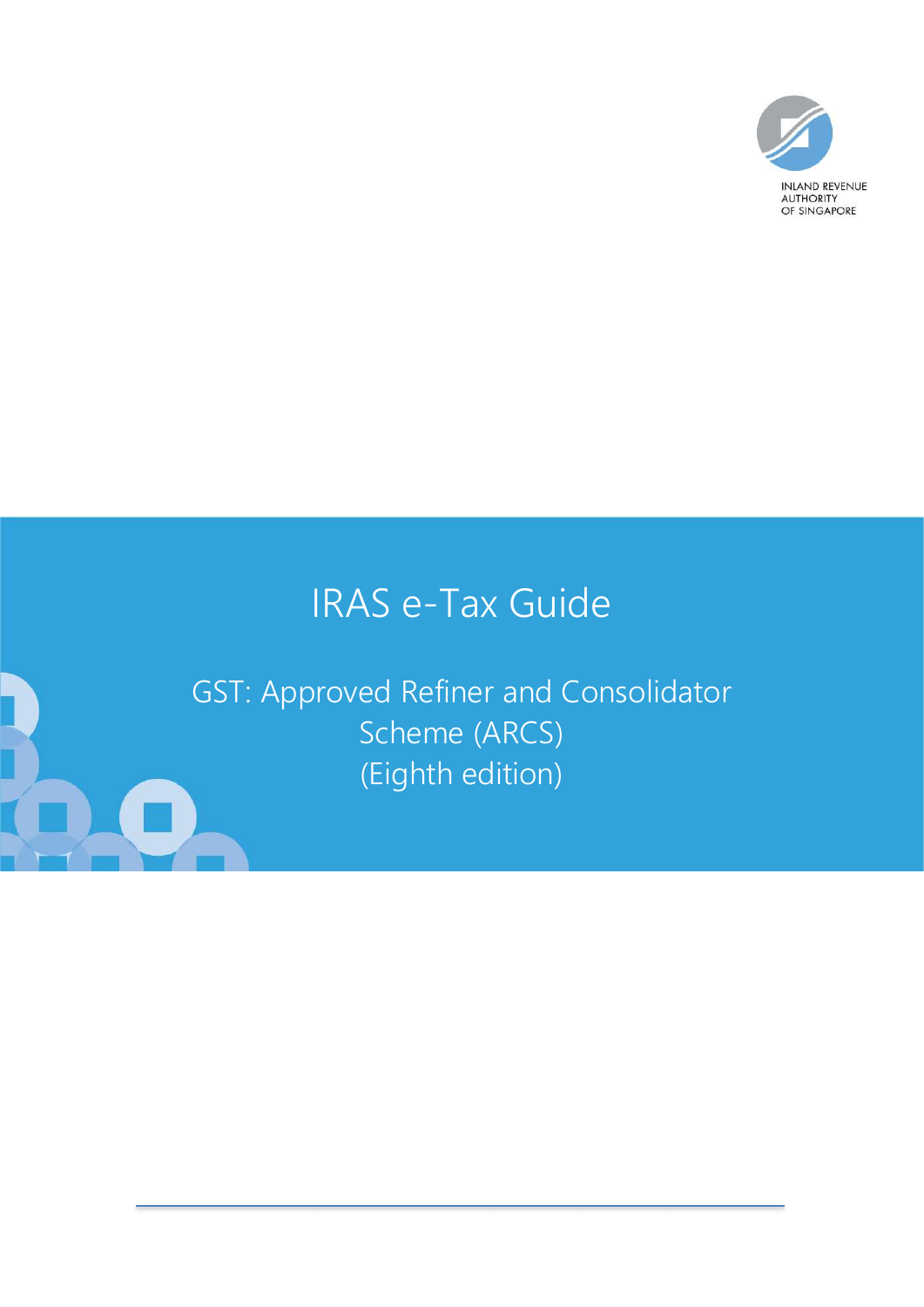

# IRAS e-Tax Guide

GST: Approved Refiner and Consolidator Scheme (ARCS) (Eighth edition)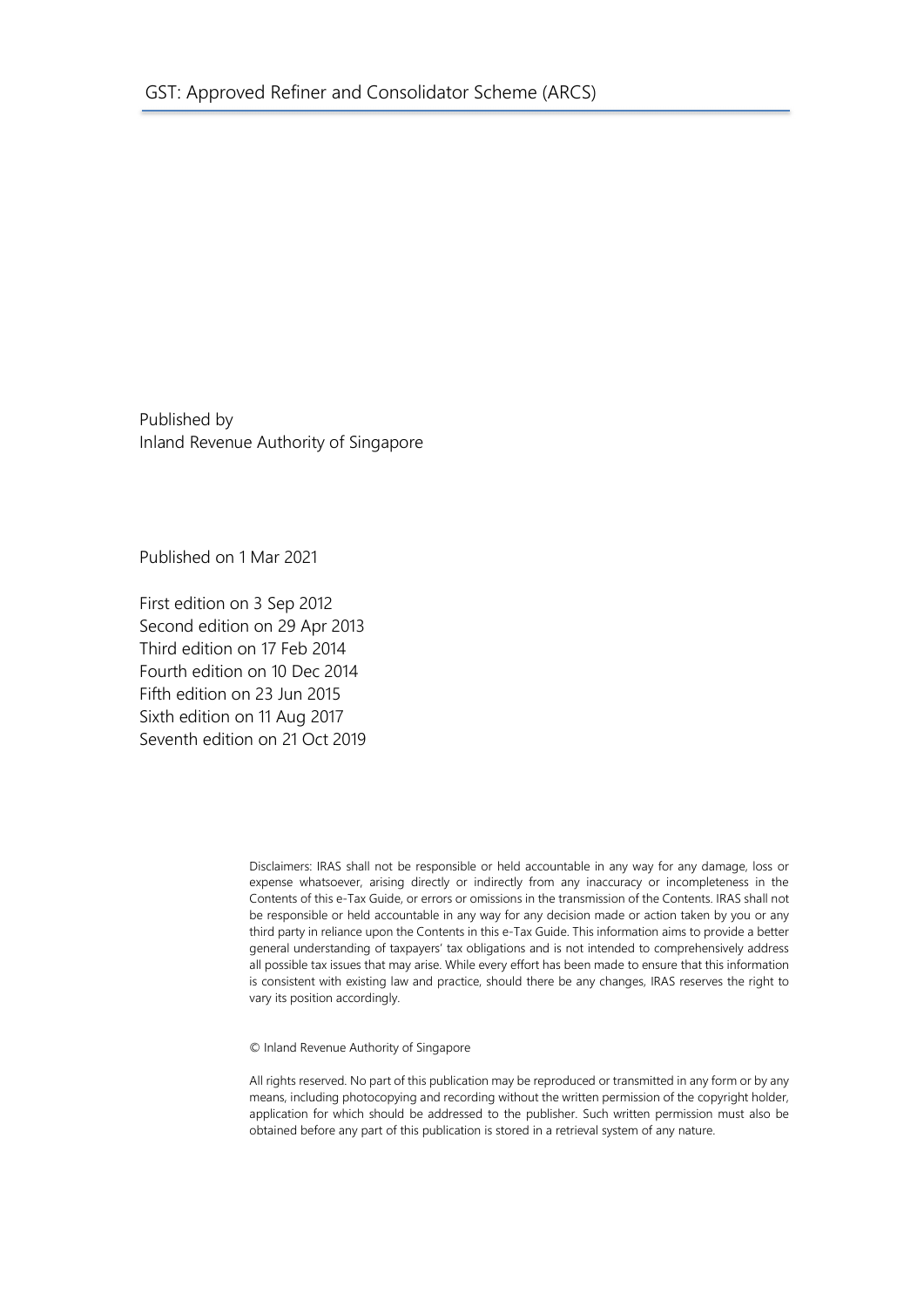Published by Inland Revenue Authority of Singapore

Published on 1 Mar 2021

First edition on 3 Sep 2012 Second edition on 29 Apr 2013 Third edition on 17 Feb 2014 Fourth edition on 10 Dec 2014 Fifth edition on 23 Jun 2015 Sixth edition on 11 Aug 2017 Seventh edition on 21 Oct 2019

> Disclaimers: IRAS shall not be responsible or held accountable in any way for any damage, loss or expense whatsoever, arising directly or indirectly from any inaccuracy or incompleteness in the Contents of this e-Tax Guide, or errors or omissions in the transmission of the Contents. IRAS shall not be responsible or held accountable in any way for any decision made or action taken by you or any third party in reliance upon the Contents in this e-Tax Guide. This information aims to provide a better general understanding of taxpayers' tax obligations and is not intended to comprehensively address all possible tax issues that may arise. While every effort has been made to ensure that this information is consistent with existing law and practice, should there be any changes, IRAS reserves the right to vary its position accordingly.

© Inland Revenue Authority of Singapore

All rights reserved. No part of this publication may be reproduced or transmitted in any form or by any means, including photocopying and recording without the written permission of the copyright holder, application for which should be addressed to the publisher. Such written permission must also be obtained before any part of this publication is stored in a retrieval system of any nature.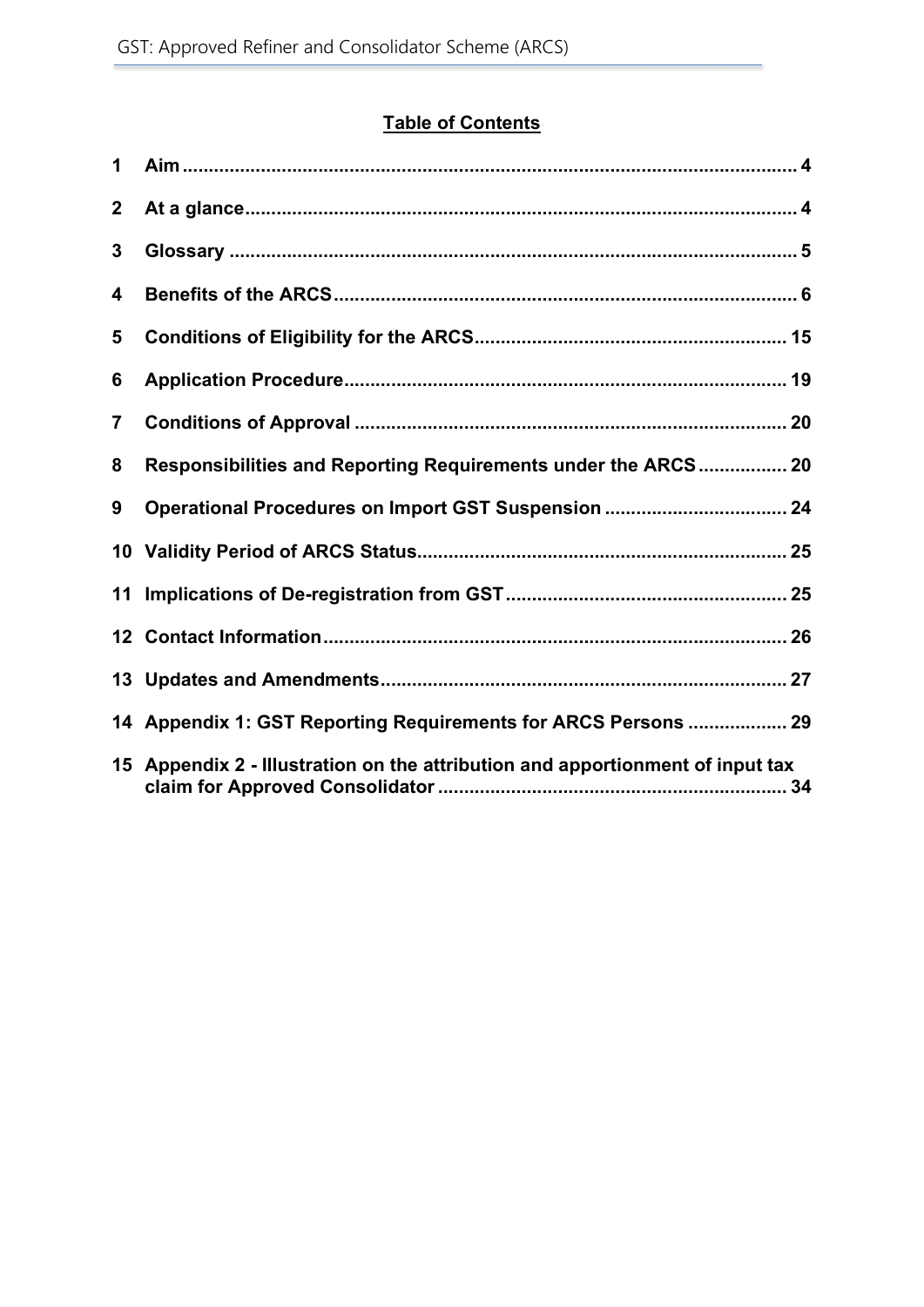# Table of Contents

| 1                       |                                                                                |  |
|-------------------------|--------------------------------------------------------------------------------|--|
| $\mathbf 2$             |                                                                                |  |
| 3                       |                                                                                |  |
| 4                       |                                                                                |  |
| 5                       |                                                                                |  |
| 6                       |                                                                                |  |
| $\overline{\mathbf{7}}$ |                                                                                |  |
| 8                       | Responsibilities and Reporting Requirements under the ARCS 20                  |  |
| 9                       |                                                                                |  |
|                         |                                                                                |  |
| 11                      |                                                                                |  |
|                         |                                                                                |  |
|                         |                                                                                |  |
|                         | 14 Appendix 1: GST Reporting Requirements for ARCS Persons  29                 |  |
|                         | 15 Appendix 2 - Illustration on the attribution and apportionment of input tax |  |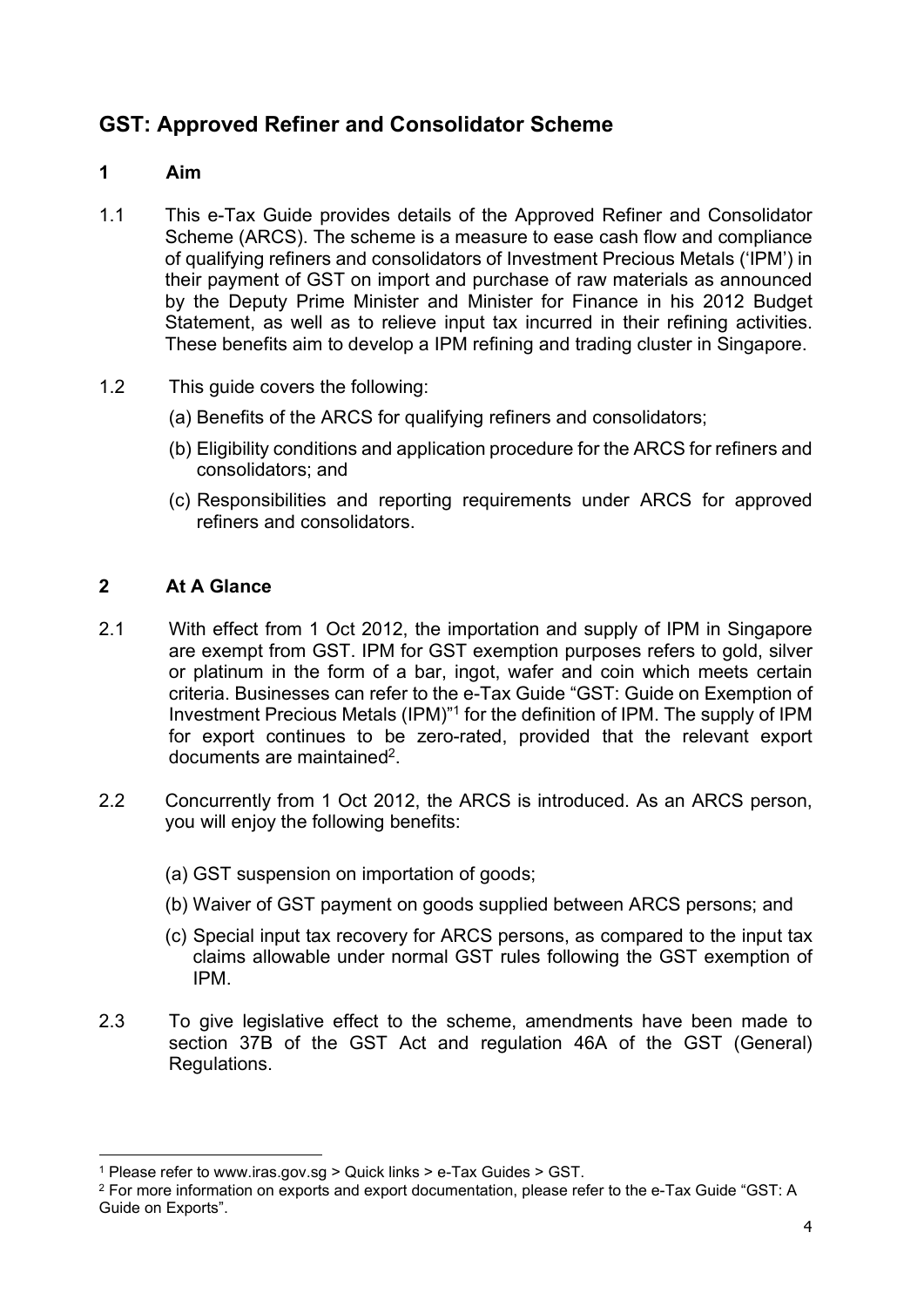# GST: Approved Refiner and Consolidator Scheme

# 1 Aim

- 1.1 This e-Tax Guide provides details of the Approved Refiner and Consolidator Scheme (ARCS). The scheme is a measure to ease cash flow and compliance of qualifying refiners and consolidators of Investment Precious Metals ('IPM') in their payment of GST on import and purchase of raw materials as announced by the Deputy Prime Minister and Minister for Finance in his 2012 Budget Statement, as well as to relieve input tax incurred in their refining activities. These benefits aim to develop a IPM refining and trading cluster in Singapore.
- 1.2 This guide covers the following:
	- (a) Benefits of the ARCS for qualifying refiners and consolidators;
	- (b) Eligibility conditions and application procedure for the ARCS for refiners and consolidators; and
	- (c) Responsibilities and reporting requirements under ARCS for approved refiners and consolidators.

# 2 At A Glance

- 2.1 With effect from 1 Oct 2012, the importation and supply of IPM in Singapore are exempt from GST. IPM for GST exemption purposes refers to gold, silver or platinum in the form of a bar, ingot, wafer and coin which meets certain criteria. Businesses can refer to the e-Tax Guide "GST: Guide on Exemption of Investment Precious Metals (IPM)"<sup>1</sup> for the definition of IPM. The supply of IPM for export continues to be zero-rated, provided that the relevant export documents are maintained<sup>2</sup>.
- 2.2 Concurrently from 1 Oct 2012, the ARCS is introduced. As an ARCS person, you will enjoy the following benefits:
	- (a) GST suspension on importation of goods;
	- (b) Waiver of GST payment on goods supplied between ARCS persons; and
	- (c) Special input tax recovery for ARCS persons, as compared to the input tax claims allowable under normal GST rules following the GST exemption of IPM.
- 2.3 To give legislative effect to the scheme, amendments have been made to section 37B of the GST Act and regulation 46A of the GST (General) Regulations.

<sup>1</sup> Please refer to www.iras.gov.sg > Quick links > e-Tax Guides > GST.

 $^2$  For more information on exports and export documentation, please refer to the e-Tax Guide "GST: A Guide on Exports".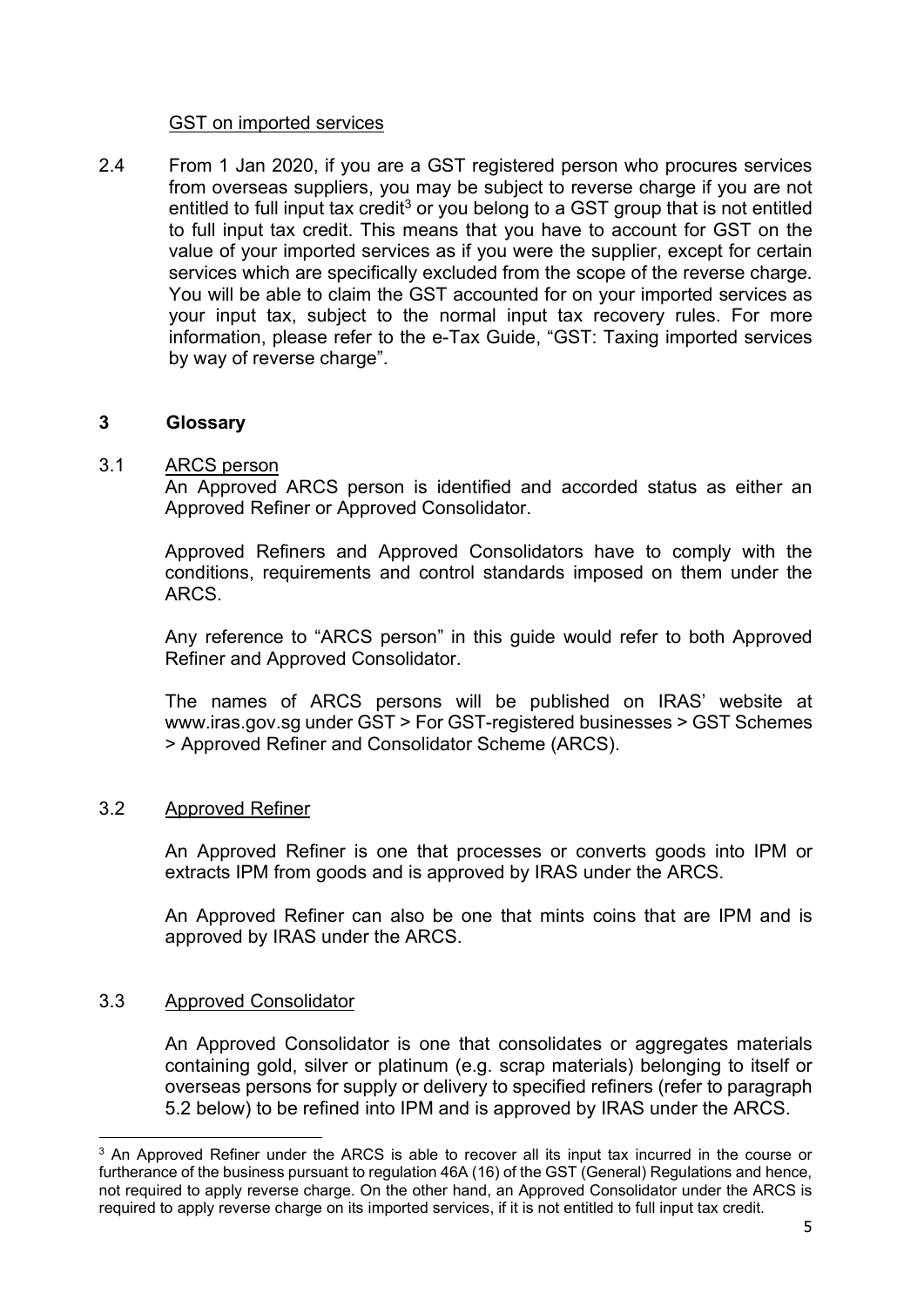#### GST on imported services

2.4 From 1 Jan 2020, if you are a GST registered person who procures services from overseas suppliers, you may be subject to reverse charge if you are not entitled to full input tax credit<sup>3</sup> or you belong to a GST group that is not entitled to full input tax credit. This means that you have to account for GST on the value of your imported services as if you were the supplier, except for certain services which are specifically excluded from the scope of the reverse charge. You will be able to claim the GST accounted for on your imported services as your input tax, subject to the normal input tax recovery rules. For more information, please refer to the e-Tax Guide, "GST: Taxing imported services by way of reverse charge".

#### 3 Glossary

#### 3.1 ARCS person

An Approved ARCS person is identified and accorded status as either an Approved Refiner or Approved Consolidator.

Approved Refiners and Approved Consolidators have to comply with the conditions, requirements and control standards imposed on them under the ARCS.

Any reference to "ARCS person" in this guide would refer to both Approved Refiner and Approved Consolidator.

The names of ARCS persons will be published on IRAS' website at www.iras.gov.sg under GST > For GST-registered businesses > GST Schemes > Approved Refiner and Consolidator Scheme (ARCS).

#### 3.2 Approved Refiner

An Approved Refiner is one that processes or converts goods into IPM or extracts IPM from goods and is approved by IRAS under the ARCS.

An Approved Refiner can also be one that mints coins that are IPM and is approved by IRAS under the ARCS.

#### 3.3 Approved Consolidator

An Approved Consolidator is one that consolidates or aggregates materials containing gold, silver or platinum (e.g. scrap materials) belonging to itself or overseas persons for supply or delivery to specified refiners (refer to paragraph 5.2 below) to be refined into IPM and is approved by IRAS under the ARCS.

 $3$  An Approved Refiner under the ARCS is able to recover all its input tax incurred in the course or furtherance of the business pursuant to regulation 46A (16) of the GST (General) Regulations and hence, not required to apply reverse charge. On the other hand, an Approved Consolidator under the ARCS is required to apply reverse charge on its imported services, if it is not entitled to full input tax credit.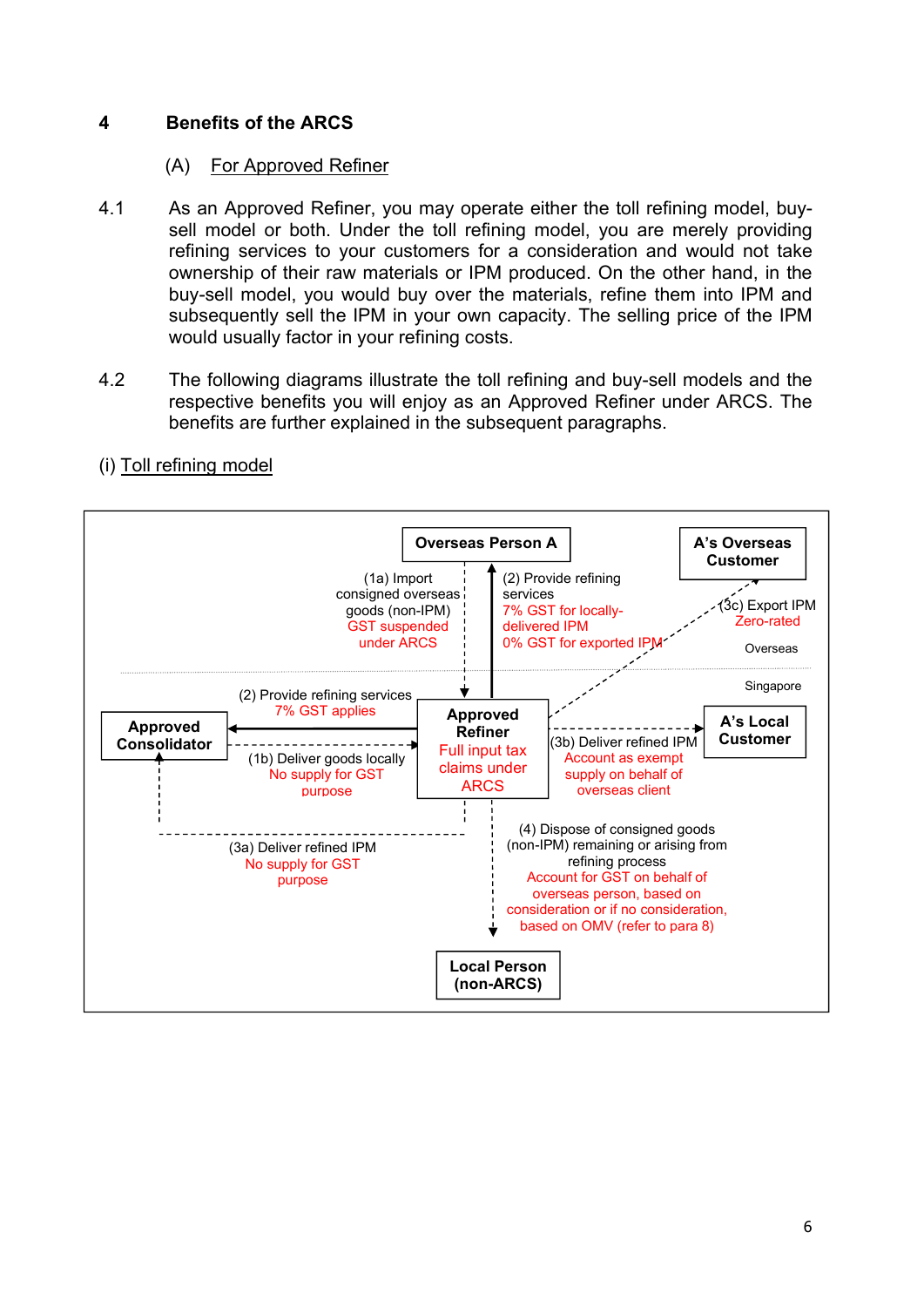# 4 Benefits of the ARCS

# (A) For Approved Refiner

- 4.1 As an Approved Refiner, you may operate either the toll refining model, buysell model or both. Under the toll refining model, you are merely providing refining services to your customers for a consideration and would not take ownership of their raw materials or IPM produced. On the other hand, in the buy-sell model, you would buy over the materials, refine them into IPM and subsequently sell the IPM in your own capacity. The selling price of the IPM would usually factor in your refining costs.
- 4.2 The following diagrams illustrate the toll refining and buy-sell models and the respective benefits you will enjoy as an Approved Refiner under ARCS. The benefits are further explained in the subsequent paragraphs.



# (i) Toll refining model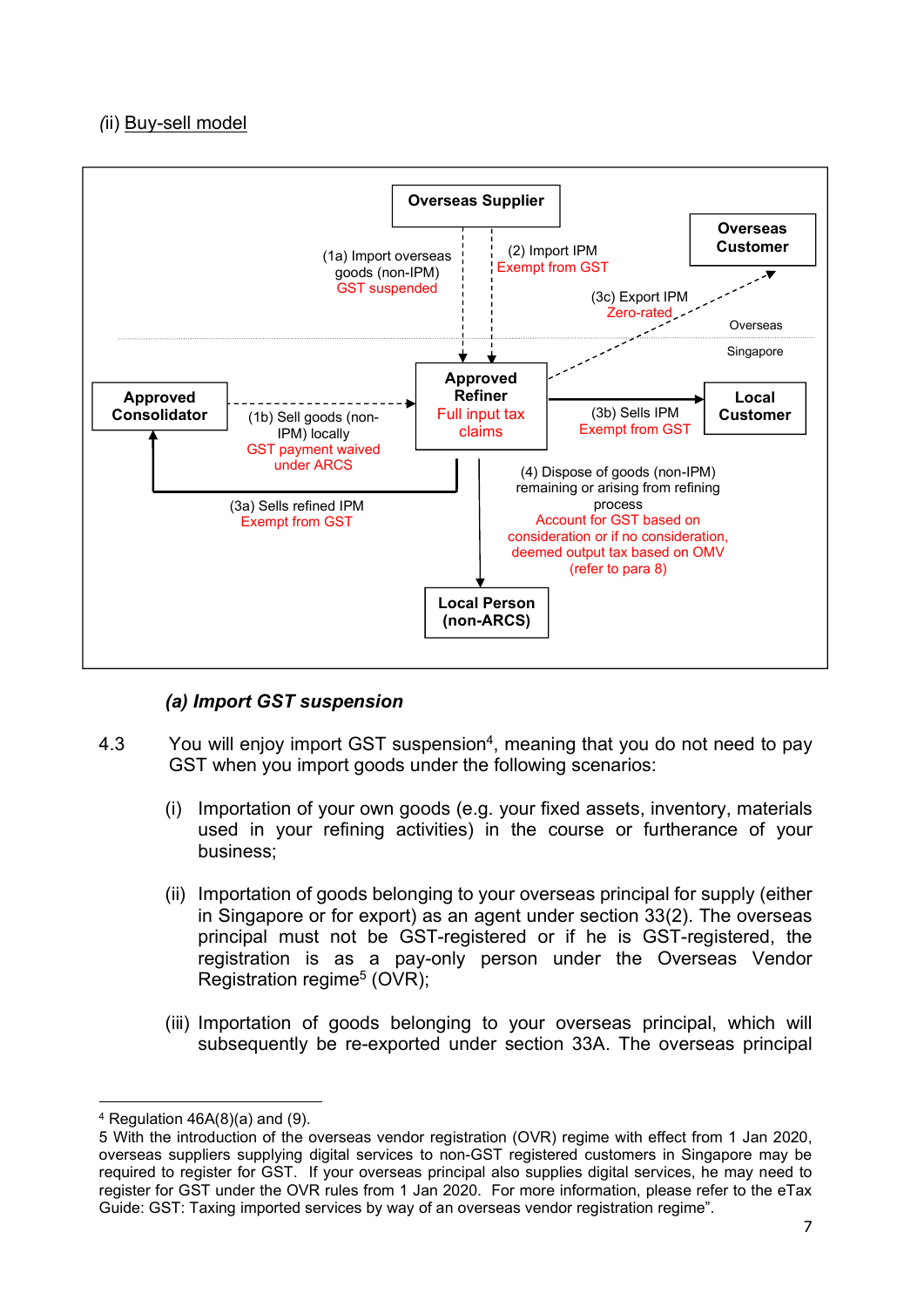# (ii) Buy-sell model



# (a) Import GST suspension

- 4.3 You will enjoy import GST suspension<sup>4</sup>, meaning that you do not need to pay GST when you import goods under the following scenarios:
	- (i) Importation of your own goods (e.g. your fixed assets, inventory, materials used in your refining activities) in the course or furtherance of your business;
	- (ii) Importation of goods belonging to your overseas principal for supply (either in Singapore or for export) as an agent under section 33(2). The overseas principal must not be GST-registered or if he is GST-registered, the registration is as a pay-only person under the Overseas Vendor Registration regime<sup>5</sup> (OVR);
	- (iii) Importation of goods belonging to your overseas principal, which will subsequently be re-exported under section 33A. The overseas principal

<sup>4</sup> Regulation 46A(8)(a) and (9).

<sup>5</sup> With the introduction of the overseas vendor registration (OVR) regime with effect from 1 Jan 2020, overseas suppliers supplying digital services to non-GST registered customers in Singapore may be required to register for GST. If your overseas principal also supplies digital services, he may need to register for GST under the OVR rules from 1 Jan 2020. For more information, please refer to the eTax Guide: GST: Taxing imported services by way of an overseas vendor registration regime".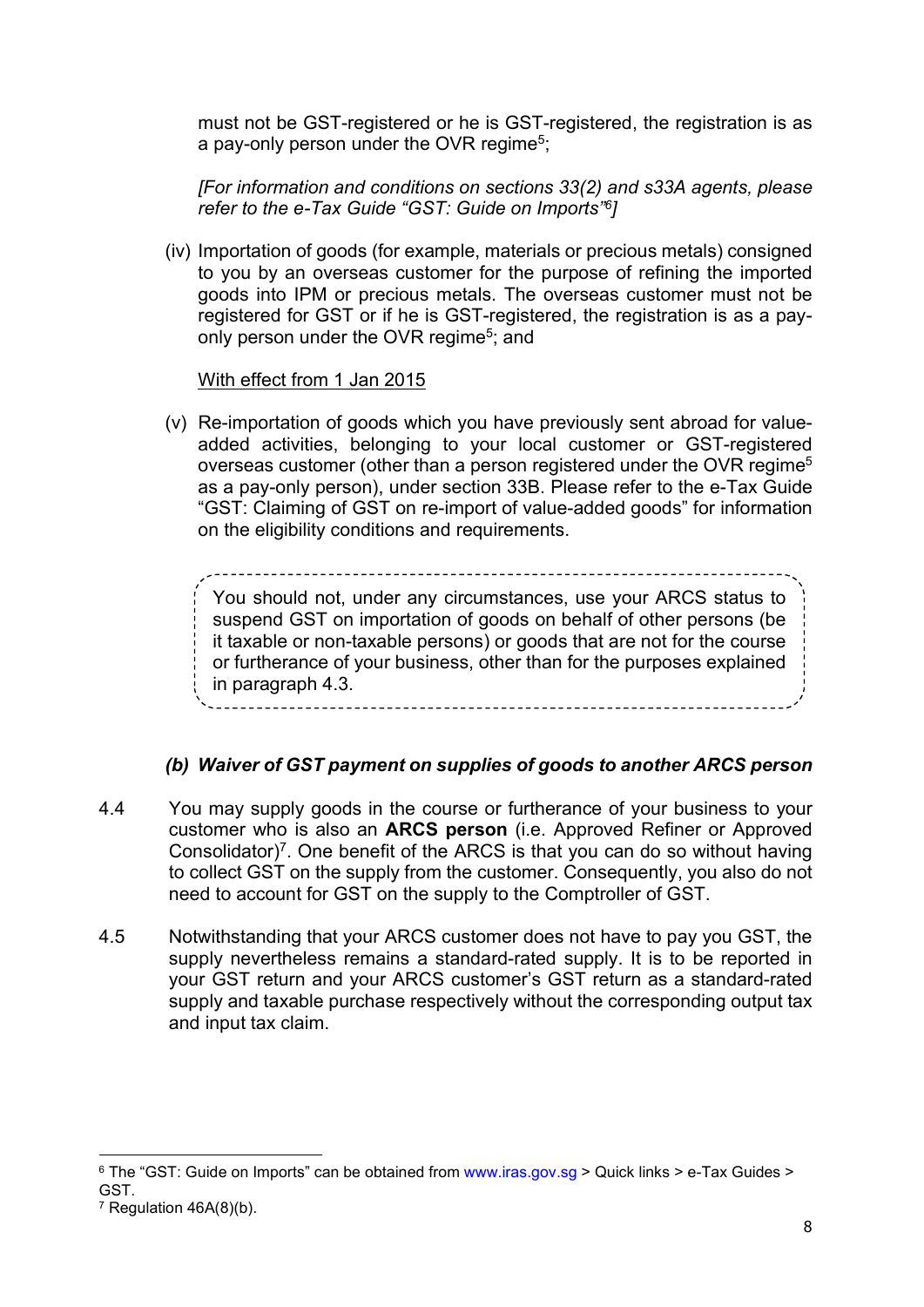must not be GST-registered or he is GST-registered, the registration is as a pay-only person under the OVR regime<sup>5</sup>;

[For information and conditions on sections 33(2) and s33A agents, please refer to the e-Tax Guide "GST: Guide on Imports"<sup>6</sup> ]

(iv) Importation of goods (for example, materials or precious metals) consigned to you by an overseas customer for the purpose of refining the imported goods into IPM or precious metals. The overseas customer must not be registered for GST or if he is GST-registered, the registration is as a payonly person under the OVR regime<sup>5</sup>; and

# With effect from 1 Jan 2015

(v) Re-importation of goods which you have previously sent abroad for valueadded activities, belonging to your local customer or GST-registered overseas customer (other than a person registered under the OVR regime<sup>5</sup> as a pay-only person), under section 33B. Please refer to the e-Tax Guide "GST: Claiming of GST on re-import of value-added goods" for information on the eligibility conditions and requirements.

You should not, under any circumstances, use your ARCS status to suspend GST on importation of goods on behalf of other persons (be it taxable or non-taxable persons) or goods that are not for the course or furtherance of your business, other than for the purposes explained in paragraph 4.3. -----------------------------

# (b) Waiver of GST payment on supplies of goods to another ARCS person

- 4.4 You may supply goods in the course or furtherance of your business to your customer who is also an ARCS person (i.e. Approved Refiner or Approved Consolidator)<sup>7</sup>. One benefit of the ARCS is that you can do so without having to collect GST on the supply from the customer. Consequently, you also do not need to account for GST on the supply to the Comptroller of GST.
- 4.5 Notwithstanding that your ARCS customer does not have to pay you GST, the supply nevertheless remains a standard-rated supply. It is to be reported in your GST return and your ARCS customer's GST return as a standard-rated supply and taxable purchase respectively without the corresponding output tax and input tax claim.

 $^6$  The "GST: Guide on Imports" can be obtained from www.iras.gov.sg > Quick links > e-Tax Guides >  $^{\circ}$ GST.

 $7$  Regulation 46A(8)(b).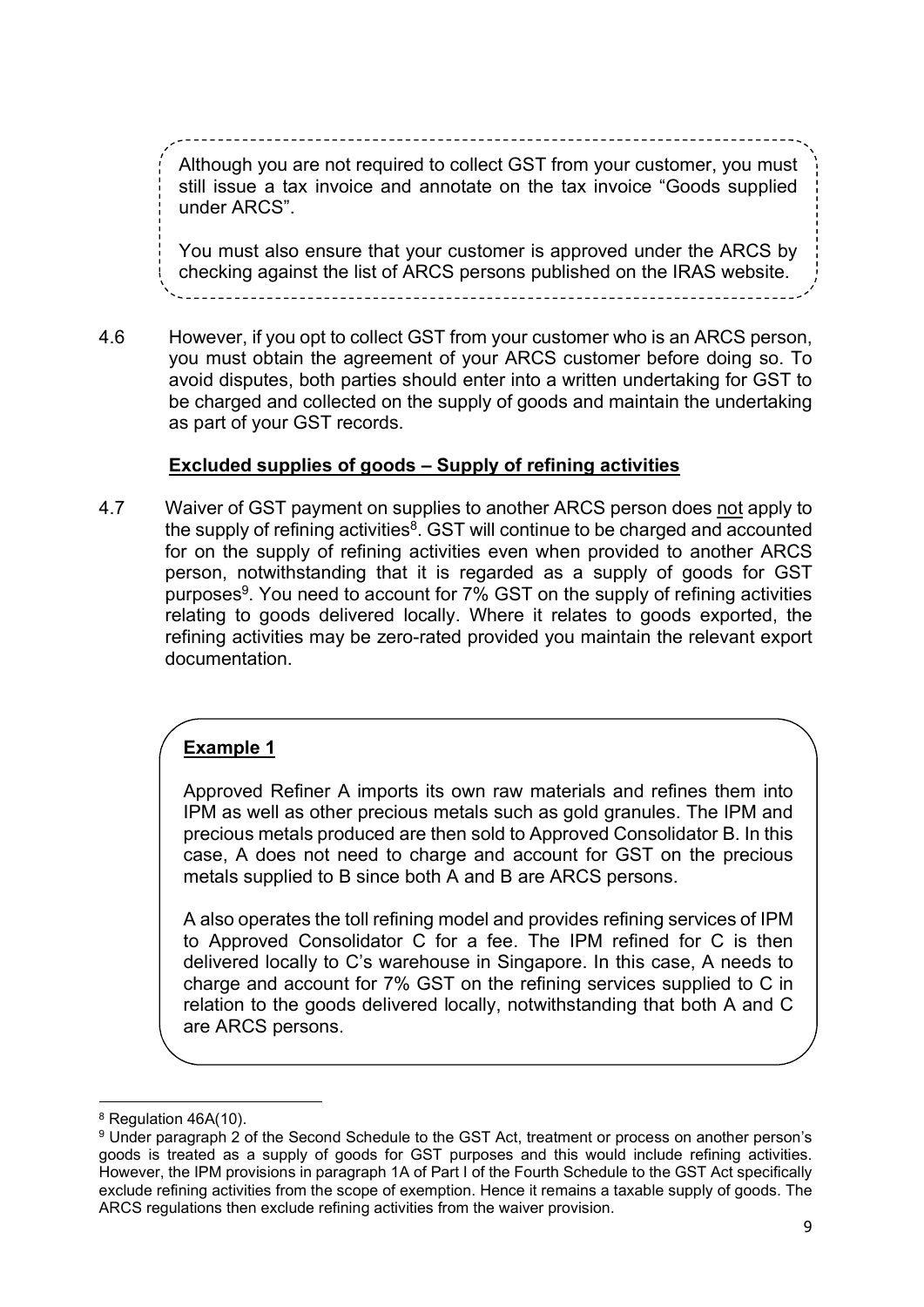$\overline{\phantom{a}}$ Although you are not required to collect GST from your customer, you must still issue a tax invoice and annotate on the tax invoice "Goods supplied under ARCS".

You must also ensure that your customer is approved under the ARCS by checking against the list of ARCS persons published on the IRAS website.

4.6 However, if you opt to collect GST from your customer who is an ARCS person, you must obtain the agreement of your ARCS customer before doing so. To avoid disputes, both parties should enter into a written undertaking for GST to be charged and collected on the supply of goods and maintain the undertaking as part of your GST records.

# Excluded supplies of goods – Supply of refining activities

4.7 Waiver of GST payment on supplies to another ARCS person does not apply to the supply of refining activities ${}^{8}$ . GST will continue to be charged and accounted for on the supply of refining activities even when provided to another ARCS person, notwithstanding that it is regarded as a supply of goods for GST purposes<sup>9</sup>. You need to account for 7% GST on the supply of refining activities relating to goods delivered locally. Where it relates to goods exported, the refining activities may be zero-rated provided you maintain the relevant export documentation.

# Example 1

Approved Refiner A imports its own raw materials and refines them into IPM as well as other precious metals such as gold granules. The IPM and precious metals produced are then sold to Approved Consolidator B. In this case, A does not need to charge and account for GST on the precious metals supplied to B since both A and B are ARCS persons.

A also operates the toll refining model and provides refining services of IPM to Approved Consolidator C for a fee. The IPM refined for C is then delivered locally to C's warehouse in Singapore. In this case, A needs to charge and account for 7% GST on the refining services supplied to C in relation to the goods delivered locally, notwithstanding that both A and C are ARCS persons.

<sup>&</sup>lt;sup>8</sup> Regulation 46A(10).

<sup>9</sup> Under paragraph 2 of the Second Schedule to the GST Act, treatment or process on another person's goods is treated as a supply of goods for GST purposes and this would include refining activities. However, the IPM provisions in paragraph 1A of Part I of the Fourth Schedule to the GST Act specifically exclude refining activities from the scope of exemption. Hence it remains a taxable supply of goods. The ARCS regulations then exclude refining activities from the waiver provision.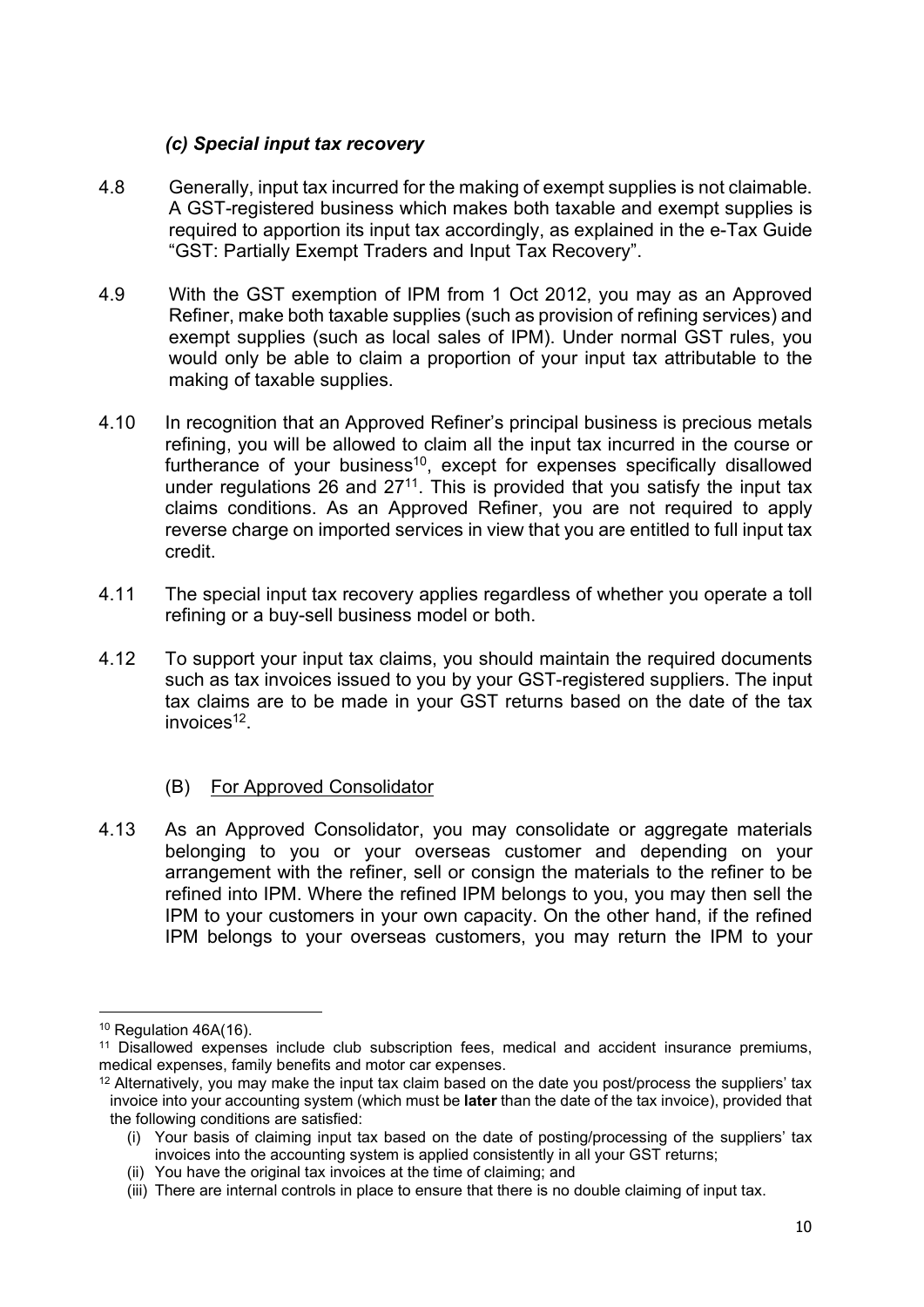# (c) Special input tax recovery

- 4.8 Generally, input tax incurred for the making of exempt supplies is not claimable. A GST-registered business which makes both taxable and exempt supplies is required to apportion its input tax accordingly, as explained in the e-Tax Guide "GST: Partially Exempt Traders and Input Tax Recovery".
- 4.9 With the GST exemption of IPM from 1 Oct 2012, you may as an Approved Refiner, make both taxable supplies (such as provision of refining services) and exempt supplies (such as local sales of IPM). Under normal GST rules, you would only be able to claim a proportion of your input tax attributable to the making of taxable supplies.
- 4.10 In recognition that an Approved Refiner's principal business is precious metals refining, you will be allowed to claim all the input tax incurred in the course or furtherance of your business $10$ , except for expenses specifically disallowed under regulations 26 and  $27<sup>11</sup>$ . This is provided that you satisfy the input tax claims conditions. As an Approved Refiner, you are not required to apply reverse charge on imported services in view that you are entitled to full input tax credit.
- 4.11 The special input tax recovery applies regardless of whether you operate a toll refining or a buy-sell business model or both.
- 4.12 To support your input tax claims, you should maintain the required documents such as tax invoices issued to you by your GST-registered suppliers. The input tax claims are to be made in your GST returns based on the date of the tax invoices<sup>12</sup>.
	- (B) For Approved Consolidator
- 4.13 As an Approved Consolidator, you may consolidate or aggregate materials belonging to you or your overseas customer and depending on your arrangement with the refiner, sell or consign the materials to the refiner to be refined into IPM. Where the refined IPM belongs to you, you may then sell the IPM to your customers in your own capacity. On the other hand, if the refined IPM belongs to your overseas customers, you may return the IPM to your

<sup>&</sup>lt;sup>10</sup> Regulation 46A(16).

<sup>11</sup> Disallowed expenses include club subscription fees, medical and accident insurance premiums, medical expenses, family benefits and motor car expenses.

<sup>12</sup> Alternatively, you may make the input tax claim based on the date you post/process the suppliers' tax invoice into your accounting system (which must be later than the date of the tax invoice), provided that the following conditions are satisfied:

<sup>(</sup>i) Your basis of claiming input tax based on the date of posting/processing of the suppliers' tax invoices into the accounting system is applied consistently in all your GST returns;

<sup>(</sup>ii) You have the original tax invoices at the time of claiming; and

<sup>(</sup>iii) There are internal controls in place to ensure that there is no double claiming of input tax.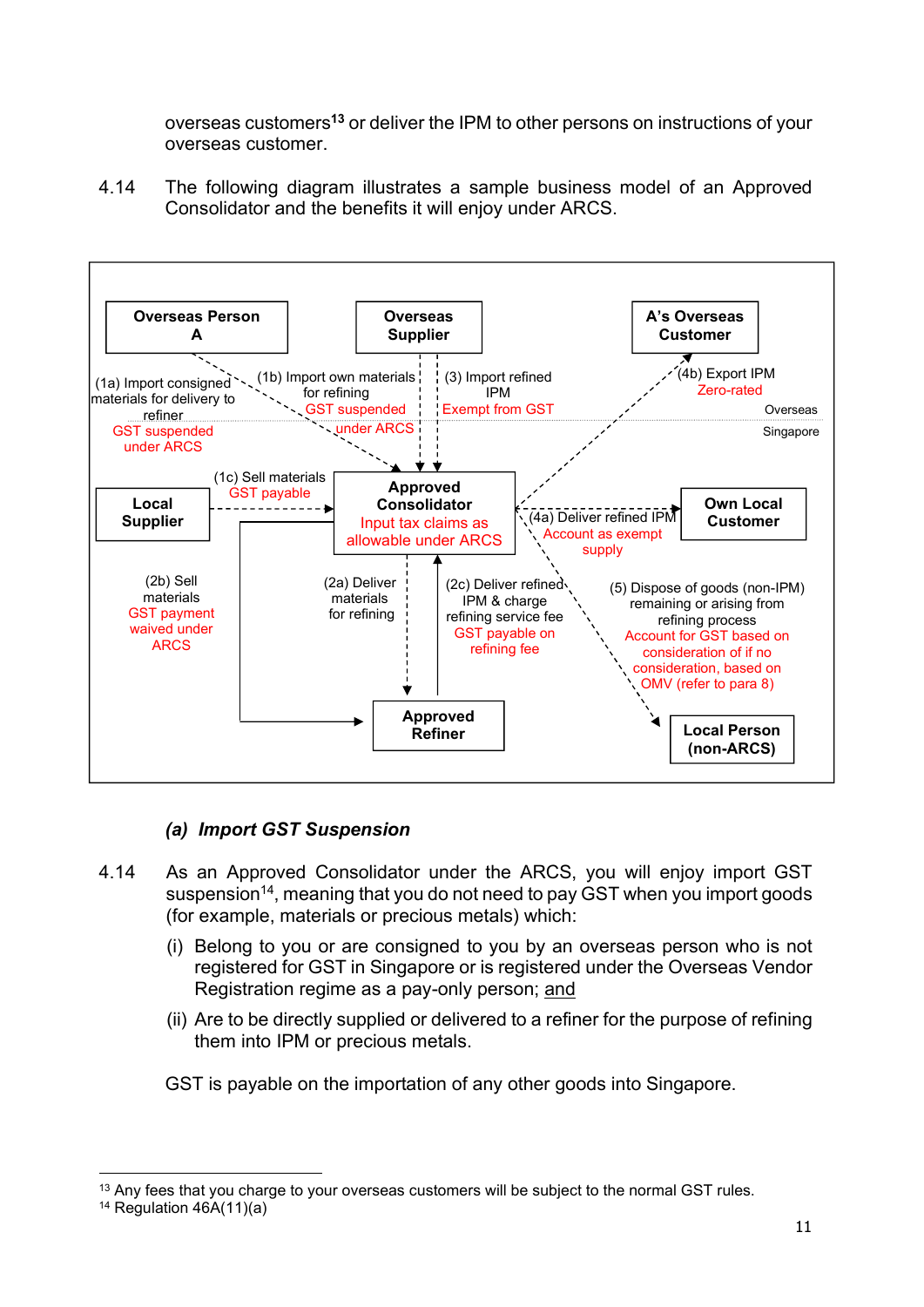overseas customers<sup>13</sup> or deliver the IPM to other persons on instructions of your overseas customer.

4.14 The following diagram illustrates a sample business model of an Approved Consolidator and the benefits it will enjoy under ARCS.



# (a) Import GST Suspension

- 4.14 As an Approved Consolidator under the ARCS, you will enjoy import GST suspension<sup>14</sup>, meaning that you do not need to pay GST when you import goods (for example, materials or precious metals) which:
	- (i) Belong to you or are consigned to you by an overseas person who is not registered for GST in Singapore or is registered under the Overseas Vendor Registration regime as a pay-only person; and
	- (ii) Are to be directly supplied or delivered to a refiner for the purpose of refining them into IPM or precious metals.

GST is payable on the importation of any other goods into Singapore.

<sup>&</sup>lt;sup>13</sup> Any fees that you charge to your overseas customers will be subject to the normal GST rules.

<sup>&</sup>lt;sup>14</sup> Regulation  $46A(11)(a)$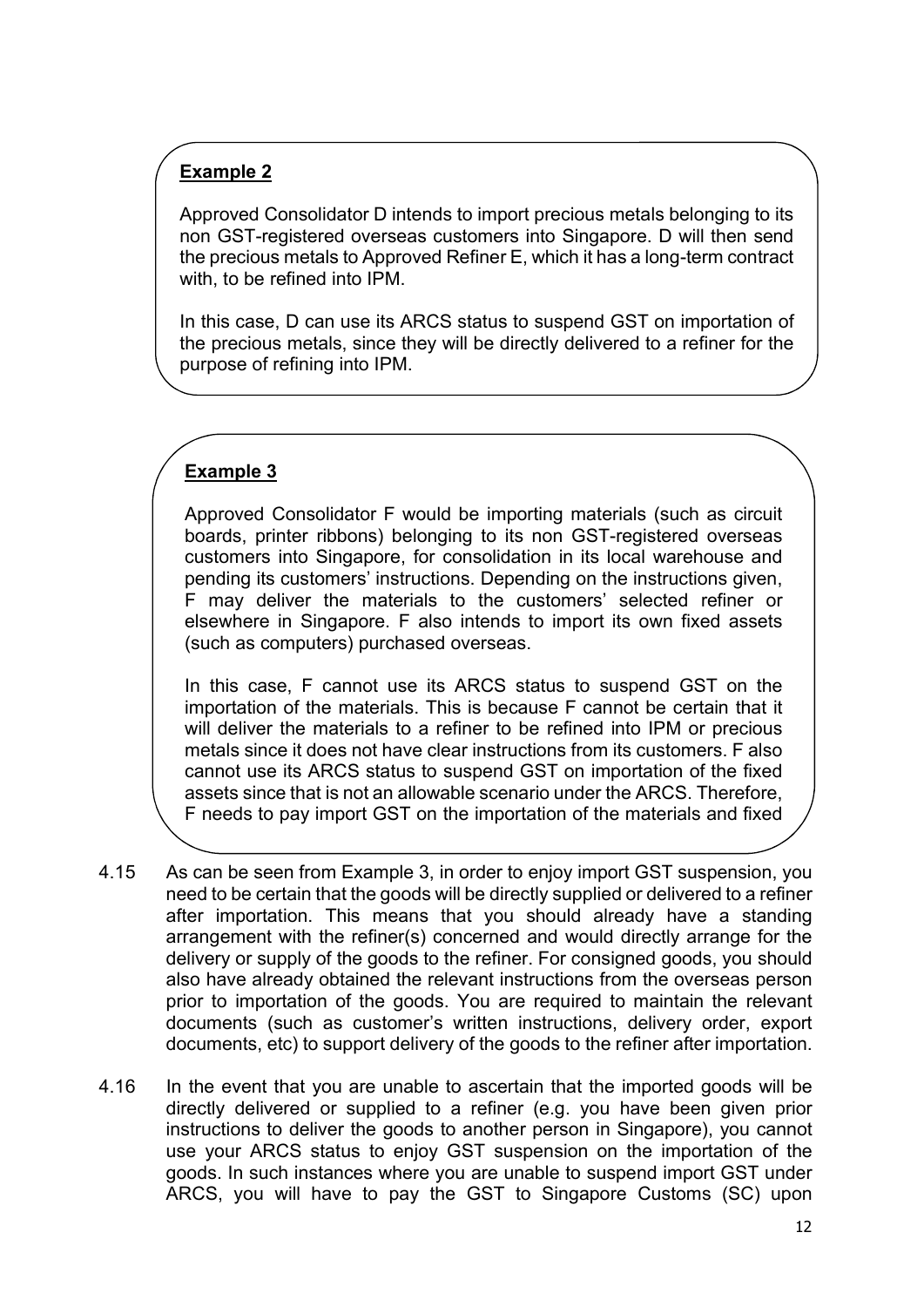# Example 2

Approved Consolidator D intends to import precious metals belonging to its non GST-registered overseas customers into Singapore. D will then send the precious metals to Approved Refiner E, which it has a long-term contract with, to be refined into IPM.

In this case, D can use its ARCS status to suspend GST on importation of the precious metals, since they will be directly delivered to a refiner for the purpose of refining into IPM.

# Example 3

assets.

Approved Consolidator F would be importing materials (such as circuit boards, printer ribbons) belonging to its non GST-registered overseas customers into Singapore, for consolidation in its local warehouse and pending its customers' instructions. Depending on the instructions given, F may deliver the materials to the customers' selected refiner or elsewhere in Singapore. F also intends to import its own fixed assets (such as computers) purchased overseas.

In this case, F cannot use its ARCS status to suspend GST on the importation of the materials. This is because F cannot be certain that it will deliver the materials to a refiner to be refined into IPM or precious metals since it does not have clear instructions from its customers. F also cannot use its ARCS status to suspend GST on importation of the fixed assets since that is not an allowable scenario under the ARCS. Therefore, F needs to pay import GST on the importation of the materials and fixed

- 4.15 As can be seen from Example 3, in order to enjoy import GST suspension, you need to be certain that the goods will be directly supplied or delivered to a refiner after importation. This means that you should already have a standing arrangement with the refiner(s) concerned and would directly arrange for the delivery or supply of the goods to the refiner. For consigned goods, you should also have already obtained the relevant instructions from the overseas person prior to importation of the goods. You are required to maintain the relevant documents (such as customer's written instructions, delivery order, export documents, etc) to support delivery of the goods to the refiner after importation.
- 4.16 In the event that you are unable to ascertain that the imported goods will be directly delivered or supplied to a refiner (e.g. you have been given prior instructions to deliver the goods to another person in Singapore), you cannot use your ARCS status to enjoy GST suspension on the importation of the goods. In such instances where you are unable to suspend import GST under ARCS, you will have to pay the GST to Singapore Customs (SC) upon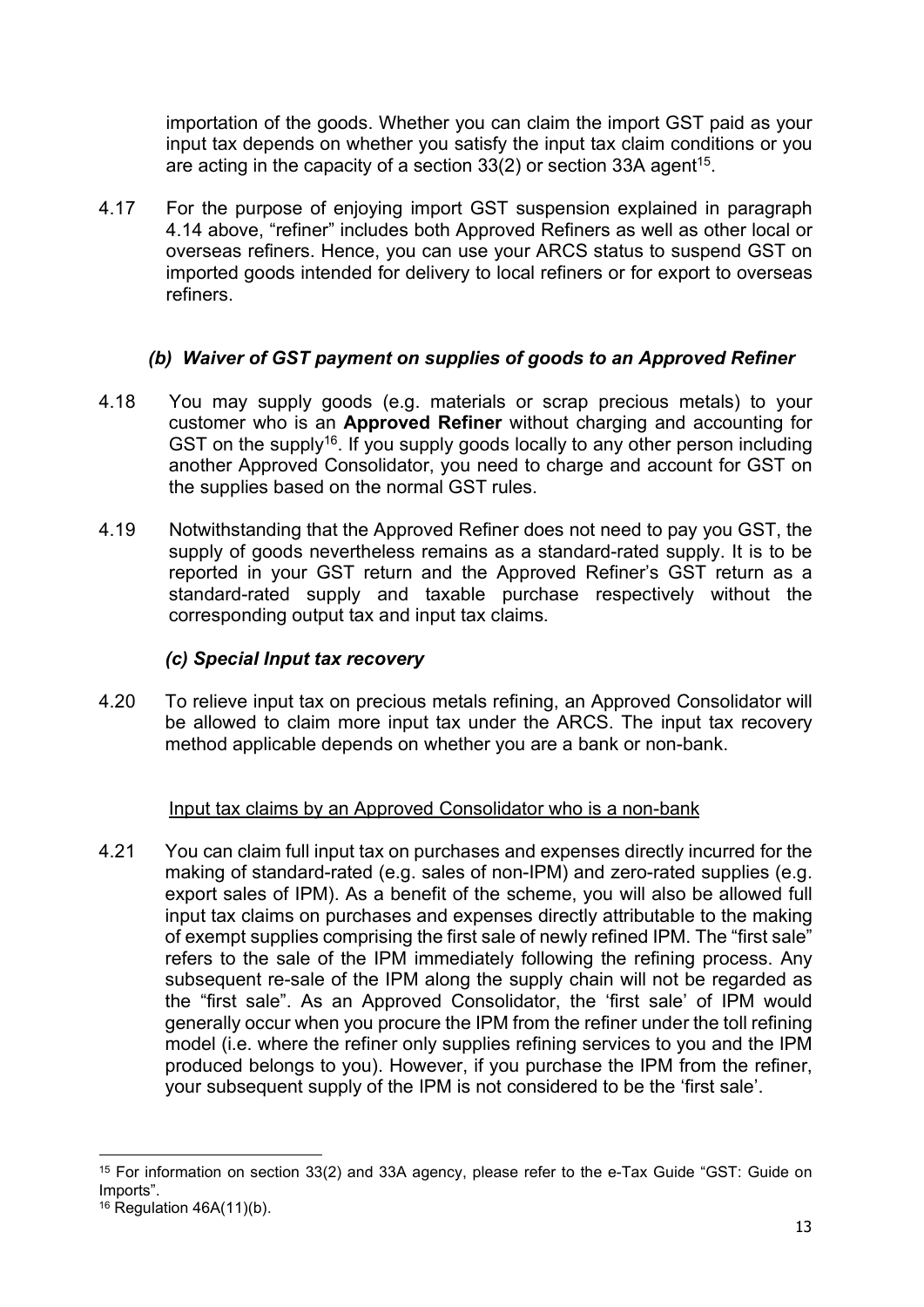importation of the goods. Whether you can claim the import GST paid as your input tax depends on whether you satisfy the input tax claim conditions or you are acting in the capacity of a section 33(2) or section 33A agent<sup>15</sup>.

4.17 For the purpose of enjoying import GST suspension explained in paragraph 4.14 above, "refiner" includes both Approved Refiners as well as other local or overseas refiners. Hence, you can use your ARCS status to suspend GST on imported goods intended for delivery to local refiners or for export to overseas refiners.

# (b) Waiver of GST payment on supplies of goods to an Approved Refiner

- 4.18 You may supply goods (e.g. materials or scrap precious metals) to your customer who is an Approved Refiner without charging and accounting for GST on the supply<sup>16</sup>. If you supply goods locally to any other person including another Approved Consolidator, you need to charge and account for GST on the supplies based on the normal GST rules.
- 4.19 Notwithstanding that the Approved Refiner does not need to pay you GST, the supply of goods nevertheless remains as a standard-rated supply. It is to be reported in your GST return and the Approved Refiner's GST return as a standard-rated supply and taxable purchase respectively without the corresponding output tax and input tax claims.

#### (c) Special Input tax recovery

4.20 To relieve input tax on precious metals refining, an Approved Consolidator will be allowed to claim more input tax under the ARCS. The input tax recovery method applicable depends on whether you are a bank or non-bank.

#### Input tax claims by an Approved Consolidator who is a non-bank

4.21 You can claim full input tax on purchases and expenses directly incurred for the making of standard-rated (e.g. sales of non-IPM) and zero-rated supplies (e.g. export sales of IPM). As a benefit of the scheme, you will also be allowed full input tax claims on purchases and expenses directly attributable to the making of exempt supplies comprising the first sale of newly refined IPM. The "first sale" refers to the sale of the IPM immediately following the refining process. Any subsequent re-sale of the IPM along the supply chain will not be regarded as the "first sale". As an Approved Consolidator, the 'first sale' of IPM would generally occur when you procure the IPM from the refiner under the toll refining model (i.e. where the refiner only supplies refining services to you and the IPM produced belongs to you). However, if you purchase the IPM from the refiner, your subsequent supply of the IPM is not considered to be the 'first sale'.

<sup>15</sup> For information on section 33(2) and 33A agency, please refer to the e-Tax Guide "GST: Guide on Imports".

 $16$  Regulation 46A(11)(b).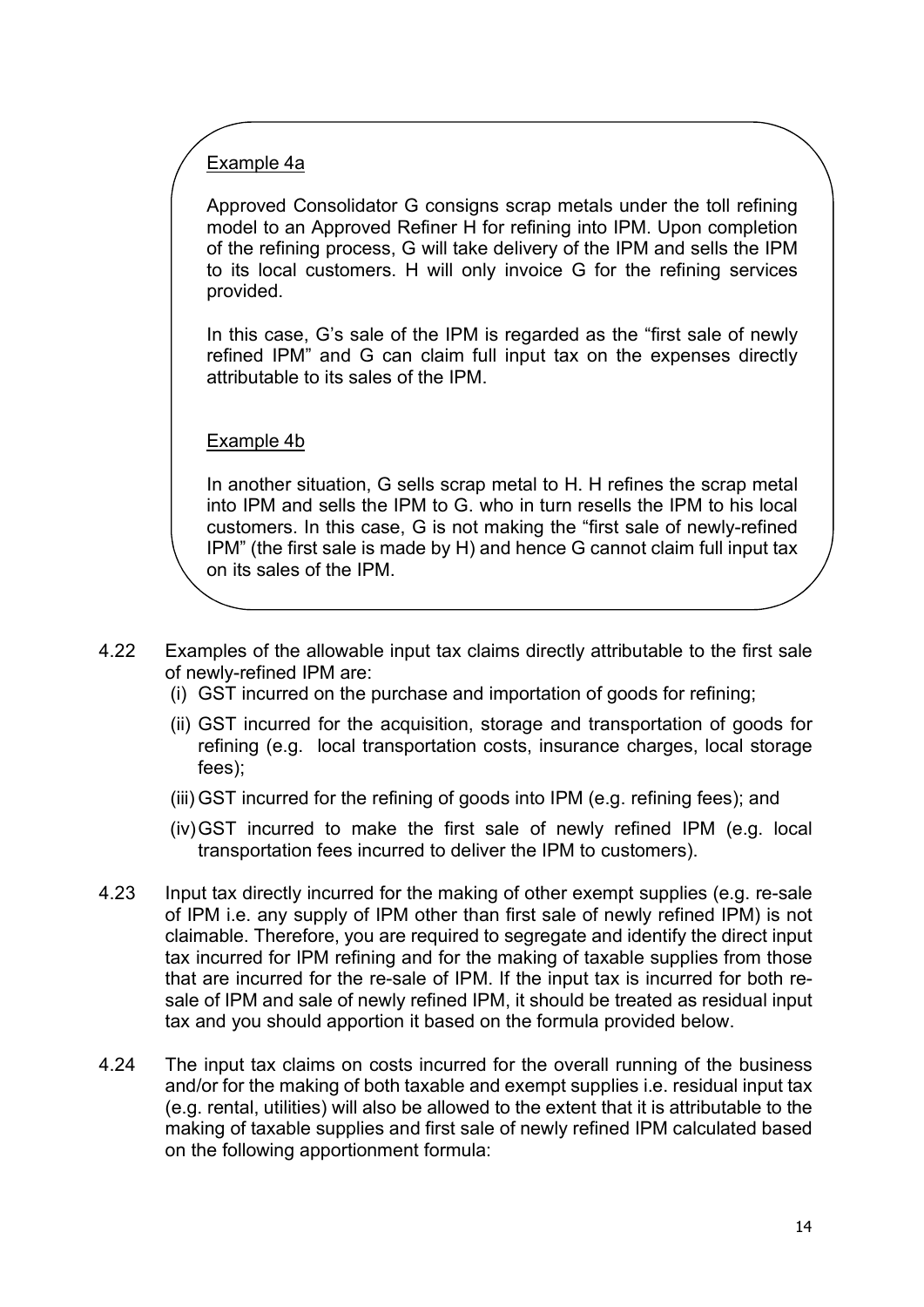# Example 4a

Approved Consolidator G consigns scrap metals under the toll refining model to an Approved Refiner H for refining into IPM. Upon completion of the refining process, G will take delivery of the IPM and sells the IPM to its local customers. H will only invoice G for the refining services provided.

In this case, G's sale of the IPM is regarded as the "first sale of newly refined IPM" and G can claim full input tax on the expenses directly attributable to its sales of the IPM.

#### Example 4b

In another situation, G sells scrap metal to H. H refines the scrap metal into IPM and sells the IPM to G. who in turn resells the IPM to his local customers. In this case, G is not making the "first sale of newly-refined IPM" (the first sale is made by H) and hence G cannot claim full input tax on its sales of the IPM.

- 4.22 Examples of the allowable input tax claims directly attributable to the first sale of newly-refined IPM are:
	- (i) GST incurred on the purchase and importation of goods for refining;
	- (ii) GST incurred for the acquisition, storage and transportation of goods for refining (e.g. local transportation costs, insurance charges, local storage fees);
	- (iii) GST incurred for the refining of goods into IPM (e.g. refining fees); and
	- (iv) GST incurred to make the first sale of newly refined IPM (e.g. local transportation fees incurred to deliver the IPM to customers).
- 4.23 Input tax directly incurred for the making of other exempt supplies (e.g. re-sale of IPM i.e. any supply of IPM other than first sale of newly refined IPM) is not claimable. Therefore, you are required to segregate and identify the direct input tax incurred for IPM refining and for the making of taxable supplies from those that are incurred for the re-sale of IPM. If the input tax is incurred for both resale of IPM and sale of newly refined IPM, it should be treated as residual input tax and you should apportion it based on the formula provided below.
- 4.24 The input tax claims on costs incurred for the overall running of the business and/or for the making of both taxable and exempt supplies i.e. residual input tax (e.g. rental, utilities) will also be allowed to the extent that it is attributable to the making of taxable supplies and first sale of newly refined IPM calculated based on the following apportionment formula: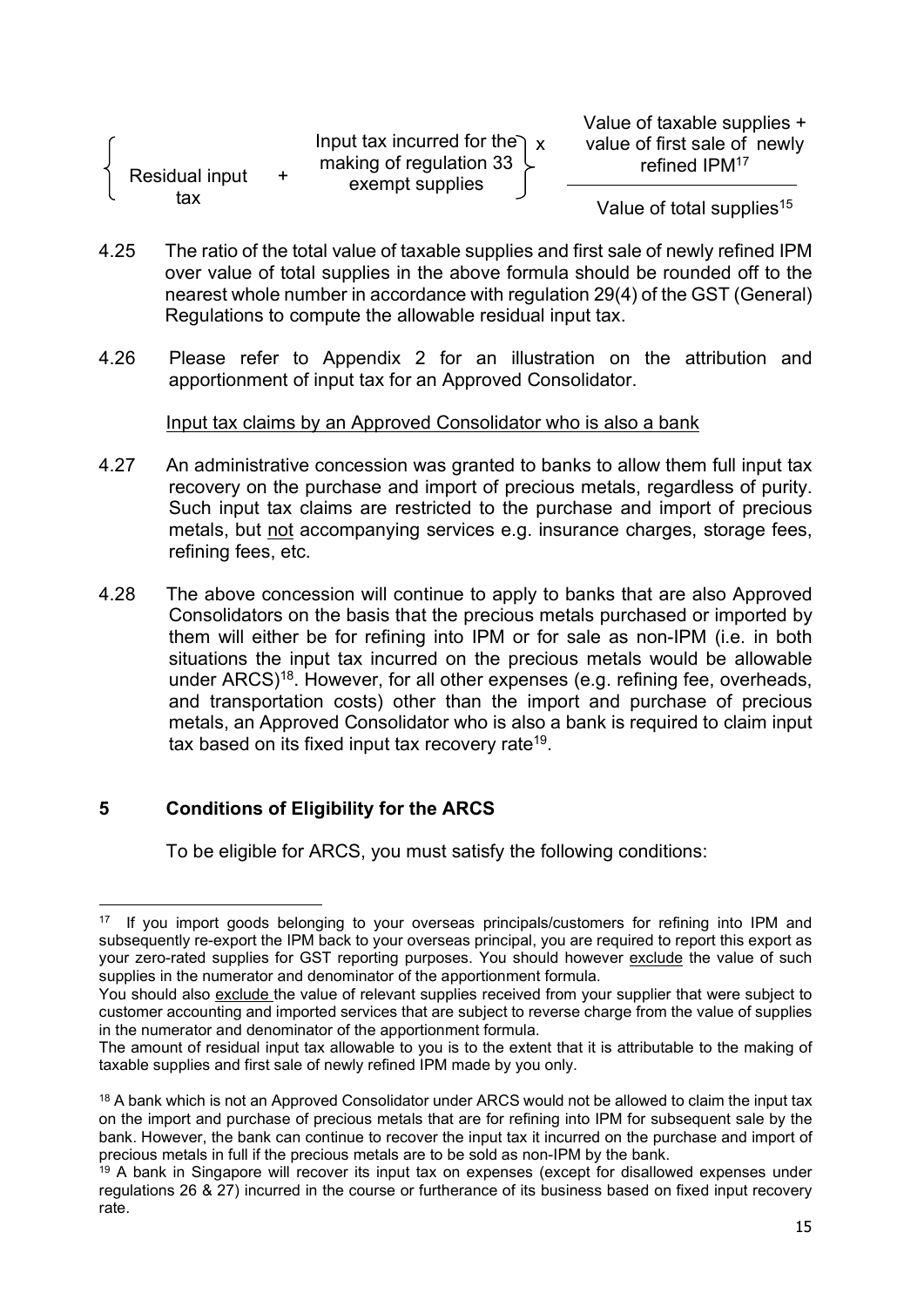|                              |     | Input tax incurred for the $\chi$                       |
|------------------------------|-----|---------------------------------------------------------|
| <b>Residual input</b><br>tax | $+$ | making of regulation 33 $\downarrow$<br>exempt supplies |

Value of taxable supplies + value of first sale of newly refined IPM<sup>17</sup>

Value of total supplies<sup>15</sup>

ł

- 4.25 The ratio of the total value of taxable supplies and first sale of newly refined IPM over value of total supplies in the above formula should be rounded off to the nearest whole number in accordance with regulation 29(4) of the GST (General) Regulations to compute the allowable residual input tax.
- 4.26 Please refer to Appendix 2 for an illustration on the attribution and apportionment of input tax for an Approved Consolidator.

Input tax claims by an Approved Consolidator who is also a bank

- 4.27 An administrative concession was granted to banks to allow them full input tax recovery on the purchase and import of precious metals, regardless of purity. Such input tax claims are restricted to the purchase and import of precious metals, but not accompanying services e.g. insurance charges, storage fees, refining fees, etc.
- 4.28 The above concession will continue to apply to banks that are also Approved Consolidators on the basis that the precious metals purchased or imported by them will either be for refining into IPM or for sale as non-IPM (i.e. in both situations the input tax incurred on the precious metals would be allowable under ARCS)<sup>18</sup>. However, for all other expenses (e.g. refining fee, overheads, and transportation costs) other than the import and purchase of precious metals, an Approved Consolidator who is also a bank is required to claim input tax based on its fixed input tax recovery rate<sup>19</sup>.

# 5 Conditions of Eligibility for the ARCS

To be eligible for ARCS, you must satisfy the following conditions:

If you import goods belonging to your overseas principals/customers for refining into IPM and subsequently re-export the IPM back to your overseas principal, you are required to report this export as your zero-rated supplies for GST reporting purposes. You should however exclude the value of such supplies in the numerator and denominator of the apportionment formula.

You should also exclude the value of relevant supplies received from your supplier that were subject to customer accounting and imported services that are subject to reverse charge from the value of supplies in the numerator and denominator of the apportionment formula.

The amount of residual input tax allowable to you is to the extent that it is attributable to the making of taxable supplies and first sale of newly refined IPM made by you only.

<sup>&</sup>lt;sup>18</sup> A bank which is not an Approved Consolidator under ARCS would not be allowed to claim the input tax on the import and purchase of precious metals that are for refining into IPM for subsequent sale by the bank. However, the bank can continue to recover the input tax it incurred on the purchase and import of precious metals in full if the precious metals are to be sold as non-IPM by the bank.

<sup>&</sup>lt;sup>19</sup> A bank in Singapore will recover its input tax on expenses (except for disallowed expenses under regulations 26 & 27) incurred in the course or furtherance of its business based on fixed input recovery rate.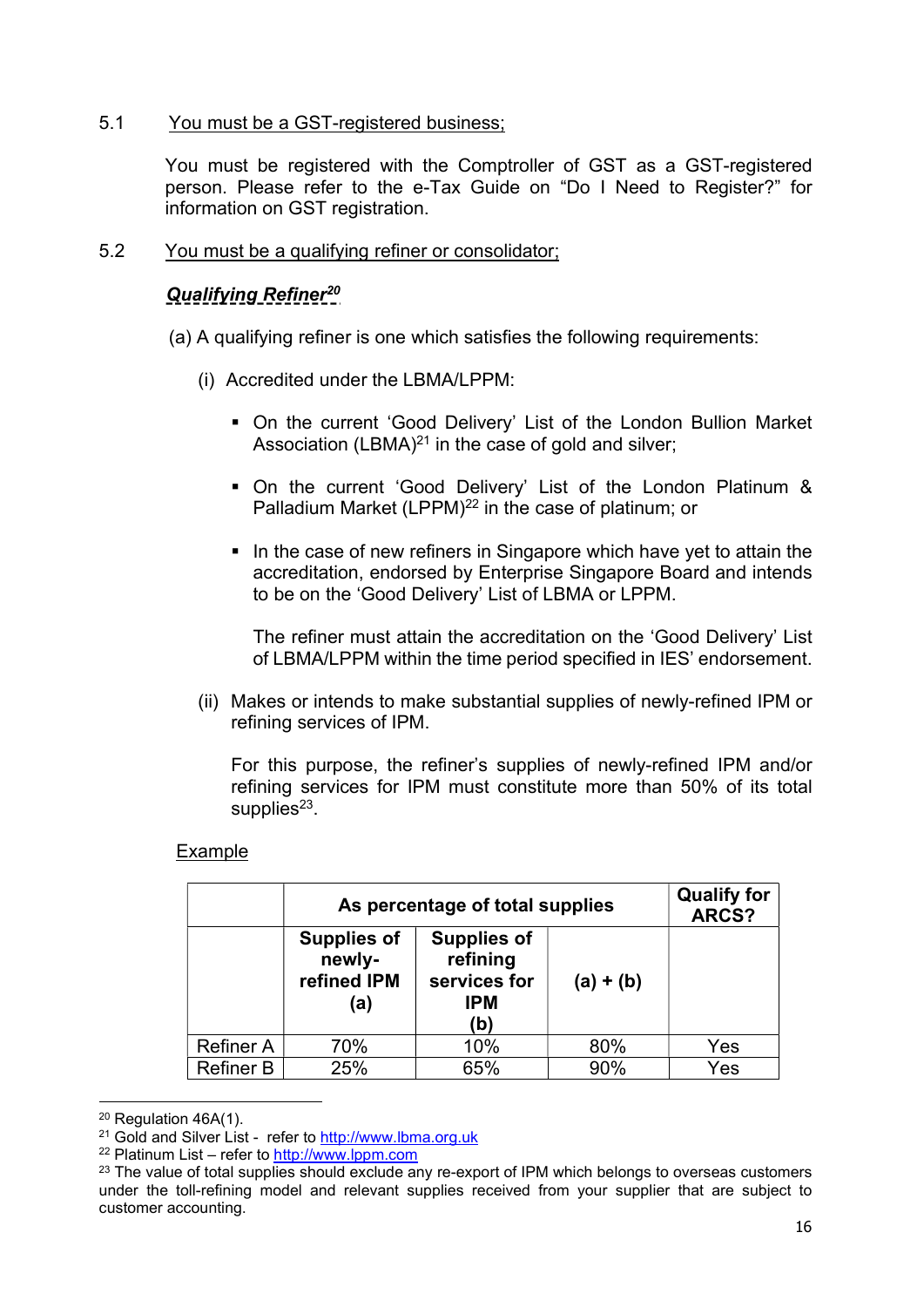# 5.1 You must be a GST-registered business;

You must be registered with the Comptroller of GST as a GST-registered person. Please refer to the e-Tax Guide on "Do I Need to Register?" for information on GST registration.

# 5.2 You must be a qualifying refiner or consolidator;

# **Qualifying Refiner<sup>20</sup>**

(a) A qualifying refiner is one which satisfies the following requirements:

- (i) Accredited under the LBMA/LPPM:
	- On the current 'Good Delivery' List of the London Bullion Market Association  $(LBMA)^{21}$  in the case of gold and silver;
	- On the current 'Good Delivery' List of the London Platinum & Palladium Market (LPPM)<sup>22</sup> in the case of platinum; or
	- In the case of new refiners in Singapore which have yet to attain the accreditation, endorsed by Enterprise Singapore Board and intends to be on the 'Good Delivery' List of LBMA or LPPM.

The refiner must attain the accreditation on the 'Good Delivery' List of LBMA/LPPM within the time period specified in IES' endorsement.

(ii) Makes or intends to make substantial supplies of newly-refined IPM or refining services of IPM.

 For this purpose, the refiner's supplies of newly-refined IPM and/or refining services for IPM must constitute more than 50% of its total supplies<sup>23</sup>.

#### Example

|                  | As percentage of total supplies                                                                                           |     |             | <b>Qualify for</b><br>ARCS? |
|------------------|---------------------------------------------------------------------------------------------------------------------------|-----|-------------|-----------------------------|
|                  | <b>Supplies of</b><br><b>Supplies of</b><br>newly-<br>refining<br>refined IPM<br>services for<br><b>IPM</b><br>(a)<br>(b) |     | $(a) + (b)$ |                             |
| <b>Refiner A</b> | 70%                                                                                                                       | 10% | 80%         | Yes                         |
| <b>Refiner B</b> | 25%                                                                                                                       | 65% | 90%         | Yes                         |

<sup>20</sup> Regulation 46A(1).

<sup>&</sup>lt;sup>21</sup> Gold and Silver List - refer to http://www.lbma.org.uk

<sup>22</sup> Platinum List – refer to http://www.lppm.com

 $23$  The value of total supplies should exclude any re-export of IPM which belongs to overseas customers under the toll-refining model and relevant supplies received from your supplier that are subject to customer accounting.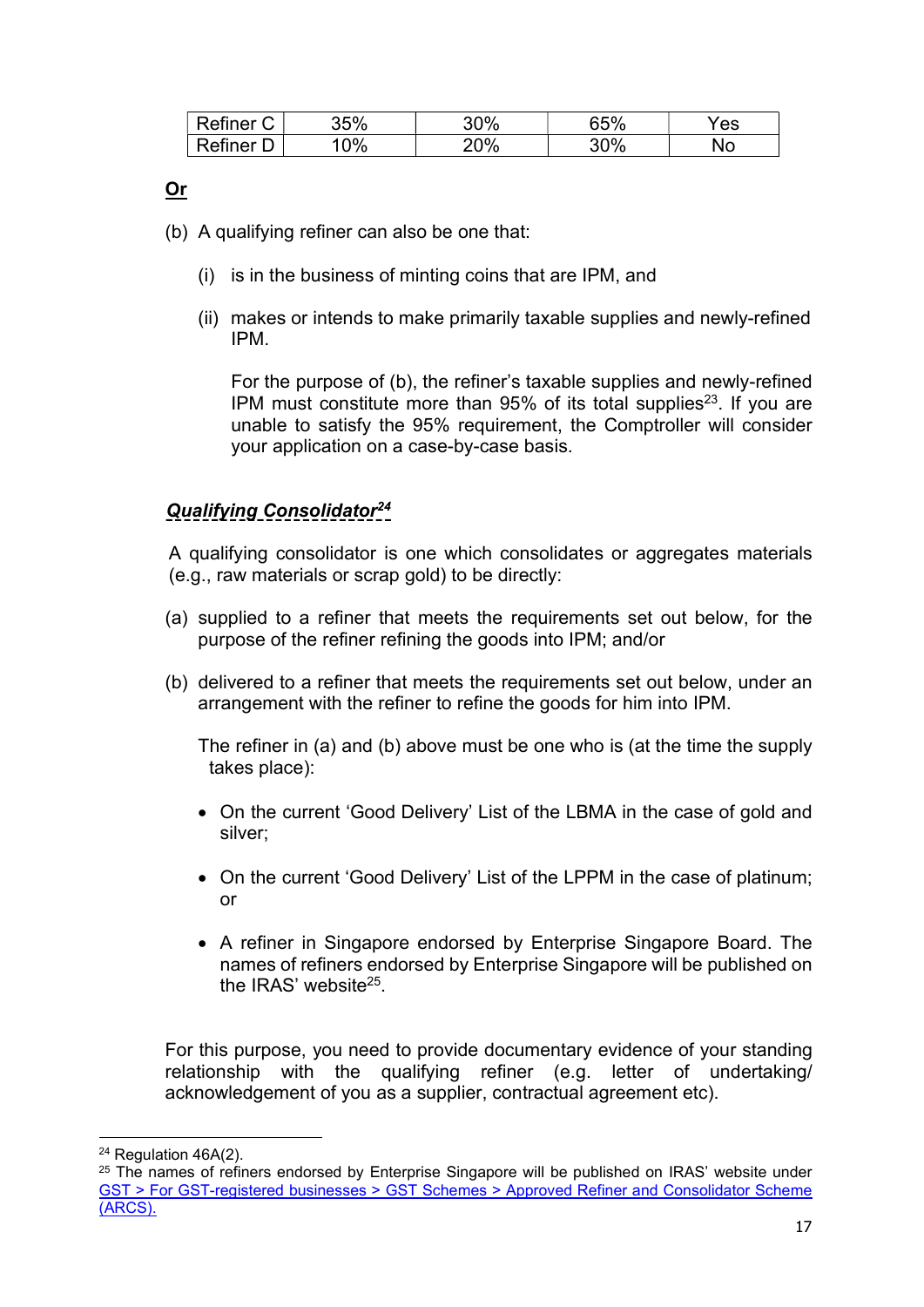| Refiner<br>ັ | 35% | 30% | 65%      | 'es |
|--------------|-----|-----|----------|-----|
| Refiner      | 0%  | 20% | 2%<br>JU | ٧о  |

# Or

- (b) A qualifying refiner can also be one that:
	- (i) is in the business of minting coins that are IPM, and
	- (ii) makes or intends to make primarily taxable supplies and newly-refined IPM.

 For the purpose of (b), the refiner's taxable supplies and newly-refined IPM must constitute more than  $95\%$  of its total supplies<sup>23</sup>. If you are unable to satisfy the 95% requirement, the Comptroller will consider your application on a case-by-case basis.

# Qualifying Consolidator<sup>24</sup>

A qualifying consolidator is one which consolidates or aggregates materials (e.g., raw materials or scrap gold) to be directly:

- (a) supplied to a refiner that meets the requirements set out below, for the purpose of the refiner refining the goods into IPM; and/or
- (b) delivered to a refiner that meets the requirements set out below, under an arrangement with the refiner to refine the goods for him into IPM.

 The refiner in (a) and (b) above must be one who is (at the time the supply takes place):

- On the current 'Good Delivery' List of the LBMA in the case of gold and silver;
- On the current 'Good Delivery' List of the LPPM in the case of platinum; or
- A refiner in Singapore endorsed by Enterprise Singapore Board. The names of refiners endorsed by Enterprise Singapore will be published on the IRAS' website<sup>25</sup>.

For this purpose, you need to provide documentary evidence of your standing relationship with the qualifying refiner (e.g. letter of undertaking/ acknowledgement of you as a supplier, contractual agreement etc).

<sup>24</sup> Regulation 46A(2).

<sup>&</sup>lt;sup>25</sup> The names of refiners endorsed by Enterprise Singapore will be published on IRAS' website under GST > For GST-registered businesses > GST Schemes > Approved Refiner and Consolidator Scheme (ARCS).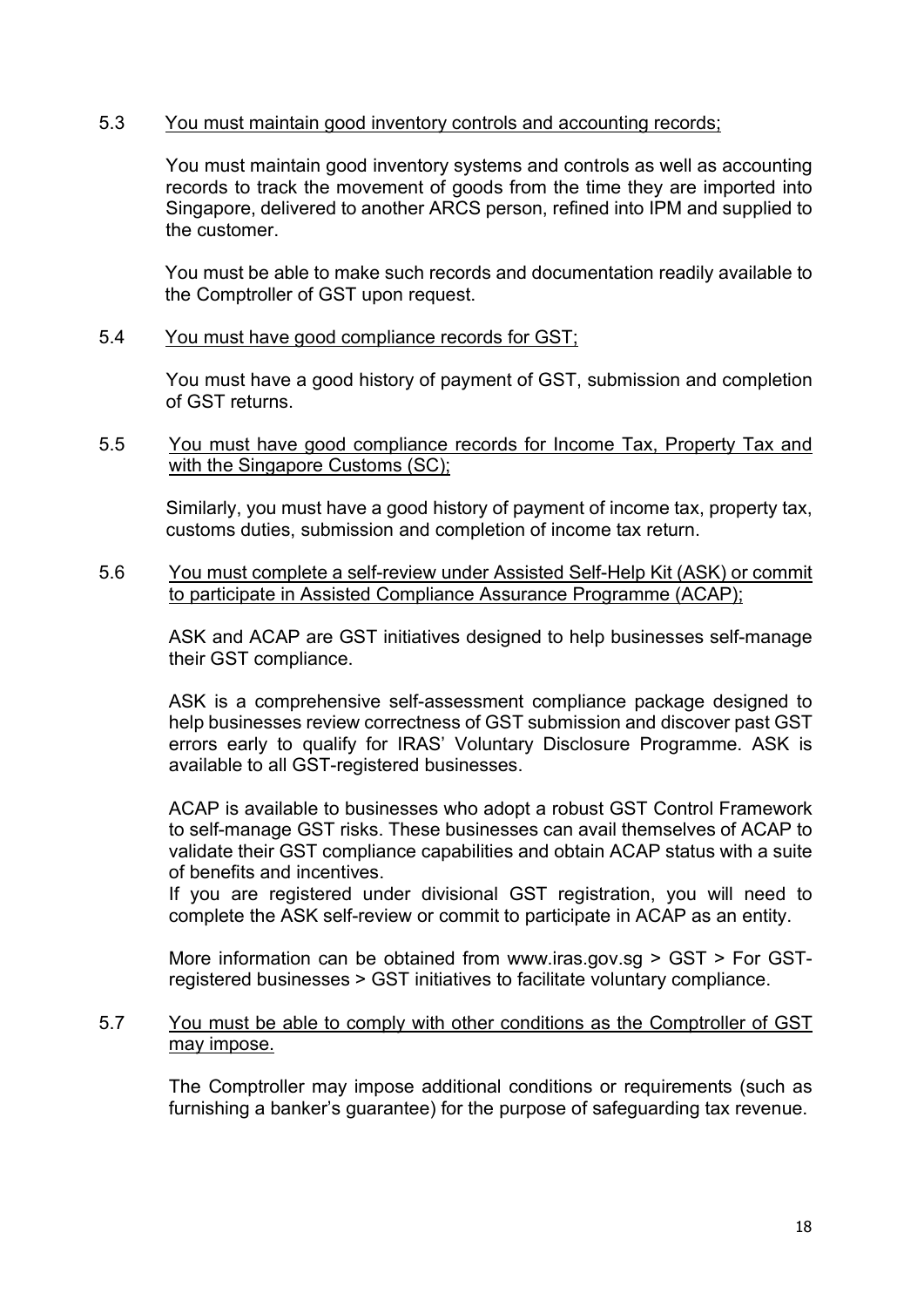#### 5.3 You must maintain good inventory controls and accounting records;

You must maintain good inventory systems and controls as well as accounting records to track the movement of goods from the time they are imported into Singapore, delivered to another ARCS person, refined into IPM and supplied to the customer.

You must be able to make such records and documentation readily available to the Comptroller of GST upon request.

#### 5.4 You must have good compliance records for GST;

You must have a good history of payment of GST, submission and completion of GST returns.

#### 5.5 You must have good compliance records for Income Tax, Property Tax and with the Singapore Customs (SC);

Similarly, you must have a good history of payment of income tax, property tax, customs duties, submission and completion of income tax return.

#### 5.6 You must complete a self-review under Assisted Self-Help Kit (ASK) or commit to participate in Assisted Compliance Assurance Programme (ACAP);

ASK and ACAP are GST initiatives designed to help businesses self-manage their GST compliance.

ASK is a comprehensive self-assessment compliance package designed to help businesses review correctness of GST submission and discover past GST errors early to qualify for IRAS' Voluntary Disclosure Programme. ASK is available to all GST-registered businesses.

ACAP is available to businesses who adopt a robust GST Control Framework to self-manage GST risks. These businesses can avail themselves of ACAP to validate their GST compliance capabilities and obtain ACAP status with a suite of benefits and incentives.

If you are registered under divisional GST registration, you will need to complete the ASK self-review or commit to participate in ACAP as an entity.

More information can be obtained from www.iras.gov.sg > GST > For GSTregistered businesses > GST initiatives to facilitate voluntary compliance.

#### 5.7 You must be able to comply with other conditions as the Comptroller of GST may impose.

The Comptroller may impose additional conditions or requirements (such as furnishing a banker's guarantee) for the purpose of safeguarding tax revenue.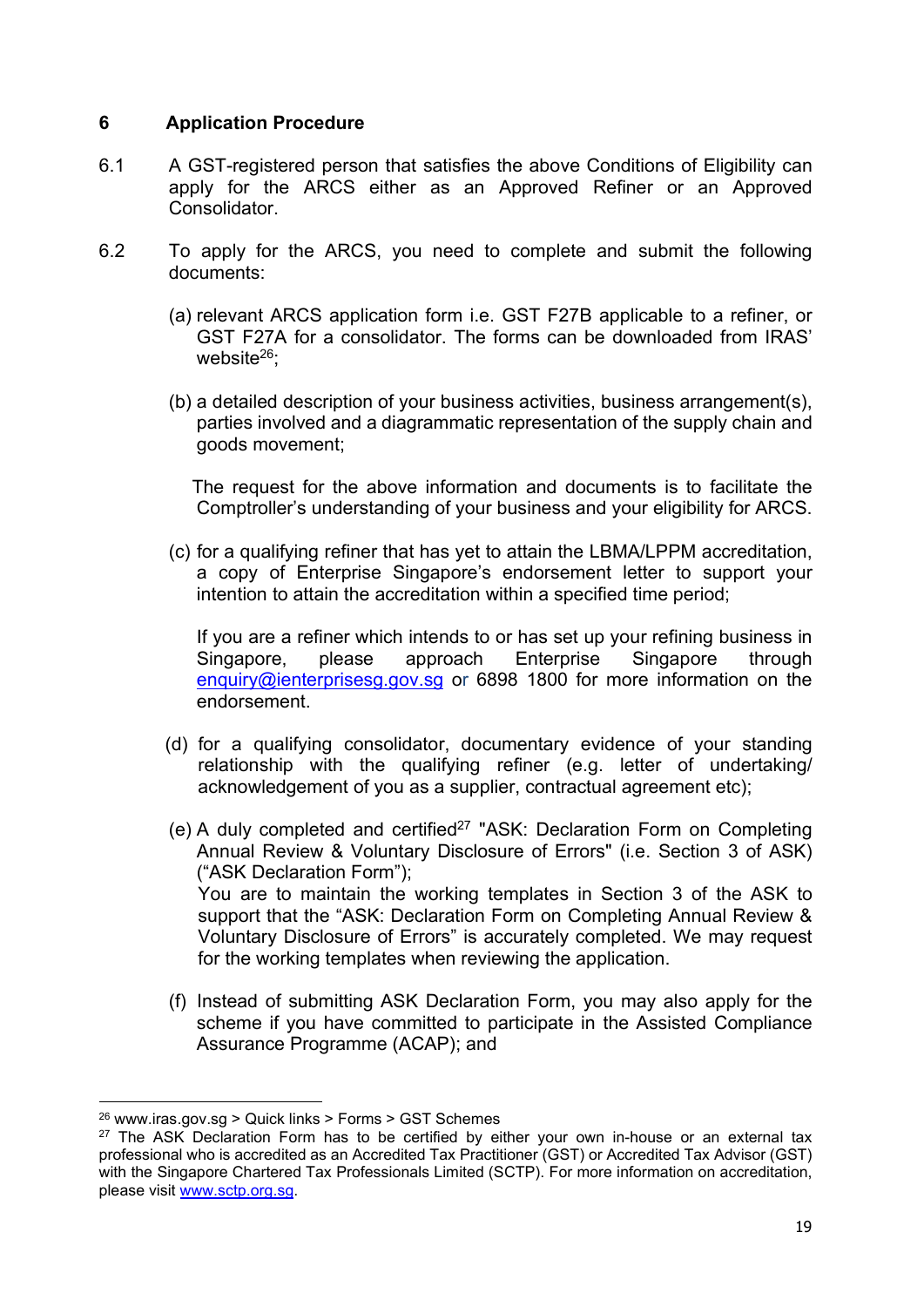# 6 Application Procedure

- 6.1 A GST-registered person that satisfies the above Conditions of Eligibility can apply for the ARCS either as an Approved Refiner or an Approved Consolidator.
- 6.2 To apply for the ARCS, you need to complete and submit the following documents:
	- (a) relevant ARCS application form i.e. GST F27B applicable to a refiner, or GST F27A for a consolidator. The forms can be downloaded from IRAS' website<sup>26</sup>:
	- (b) a detailed description of your business activities, business arrangement(s), parties involved and a diagrammatic representation of the supply chain and goods movement;

 The request for the above information and documents is to facilitate the Comptroller's understanding of your business and your eligibility for ARCS.

(c) for a qualifying refiner that has yet to attain the LBMA/LPPM accreditation, a copy of Enterprise Singapore's endorsement letter to support your intention to attain the accreditation within a specified time period;

If you are a refiner which intends to or has set up your refining business in Singapore, please approach Enterprise Singapore through enquiry@ienterprisesg.gov.sg or 6898 1800 for more information on the endorsement.

- (d) for a qualifying consolidator, documentary evidence of your standing relationship with the qualifying refiner (e.g. letter of undertaking/ acknowledgement of you as a supplier, contractual agreement etc);
- (e) A duly completed and certified<sup>27</sup> "ASK: Declaration Form on Completing Annual Review & Voluntary Disclosure of Errors" (i.e. Section 3 of ASK) ("ASK Declaration Form"); You are to maintain the working templates in Section 3 of the ASK to support that the "ASK: Declaration Form on Completing Annual Review & Voluntary Disclosure of Errors" is accurately completed. We may request for the working templates when reviewing the application.
- (f) Instead of submitting ASK Declaration Form, you may also apply for the scheme if you have committed to participate in the Assisted Compliance Assurance Programme (ACAP); and

 $26$  www.iras.gov.sg > Quick links > Forms > GST Schemes

 $27$  The ASK Declaration Form has to be certified by either your own in-house or an external tax professional who is accredited as an Accredited Tax Practitioner (GST) or Accredited Tax Advisor (GST) with the Singapore Chartered Tax Professionals Limited (SCTP). For more information on accreditation, please visit www.sctp.org.sg.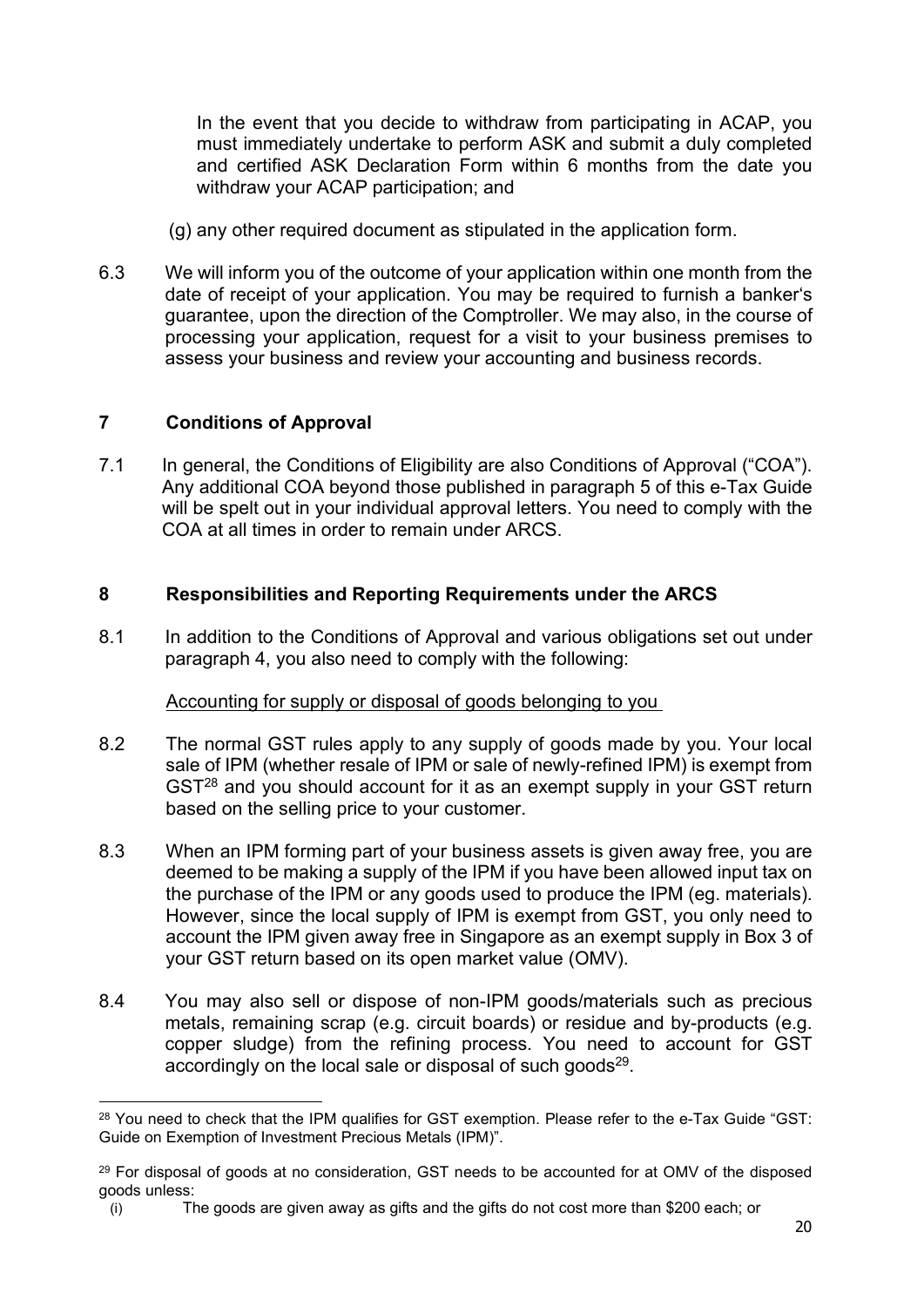In the event that you decide to withdraw from participating in ACAP, you must immediately undertake to perform ASK and submit a duly completed and certified ASK Declaration Form within 6 months from the date you withdraw your ACAP participation; and

- (g) any other required document as stipulated in the application form.
- 6.3 We will inform you of the outcome of your application within one month from the date of receipt of your application. You may be required to furnish a banker's guarantee, upon the direction of the Comptroller. We may also, in the course of processing your application, request for a visit to your business premises to assess your business and review your accounting and business records.

# 7 Conditions of Approval

7.1 In general, the Conditions of Eligibility are also Conditions of Approval ("COA"). Any additional COA beyond those published in paragraph 5 of this e-Tax Guide will be spelt out in your individual approval letters. You need to comply with the COA at all times in order to remain under ARCS.

# 8 Responsibilities and Reporting Requirements under the ARCS

8.1 In addition to the Conditions of Approval and various obligations set out under paragraph 4, you also need to comply with the following:

#### Accounting for supply or disposal of goods belonging to you

- 8.2 The normal GST rules apply to any supply of goods made by you. Your local sale of IPM (whether resale of IPM or sale of newly-refined IPM) is exempt from GST<sup>28</sup> and you should account for it as an exempt supply in your GST return based on the selling price to your customer.
- 8.3 When an IPM forming part of your business assets is given away free, you are deemed to be making a supply of the IPM if you have been allowed input tax on the purchase of the IPM or any goods used to produce the IPM (eg. materials). However, since the local supply of IPM is exempt from GST, you only need to account the IPM given away free in Singapore as an exempt supply in Box 3 of your GST return based on its open market value (OMV).
- 8.4 You may also sell or dispose of non-IPM goods/materials such as precious metals, remaining scrap (e.g. circuit boards) or residue and by-products (e.g. copper sludge) from the refining process. You need to account for GST accordingly on the local sale or disposal of such goods $^{29}$ .

<sup>&</sup>lt;sup>28</sup> You need to check that the IPM qualifies for GST exemption. Please refer to the e-Tax Guide "GST: Guide on Exemption of Investment Precious Metals (IPM)".

 $29$  For disposal of goods at no consideration, GST needs to be accounted for at OMV of the disposed goods unless:

<sup>(</sup>i) The goods are given away as gifts and the gifts do not cost more than \$200 each; or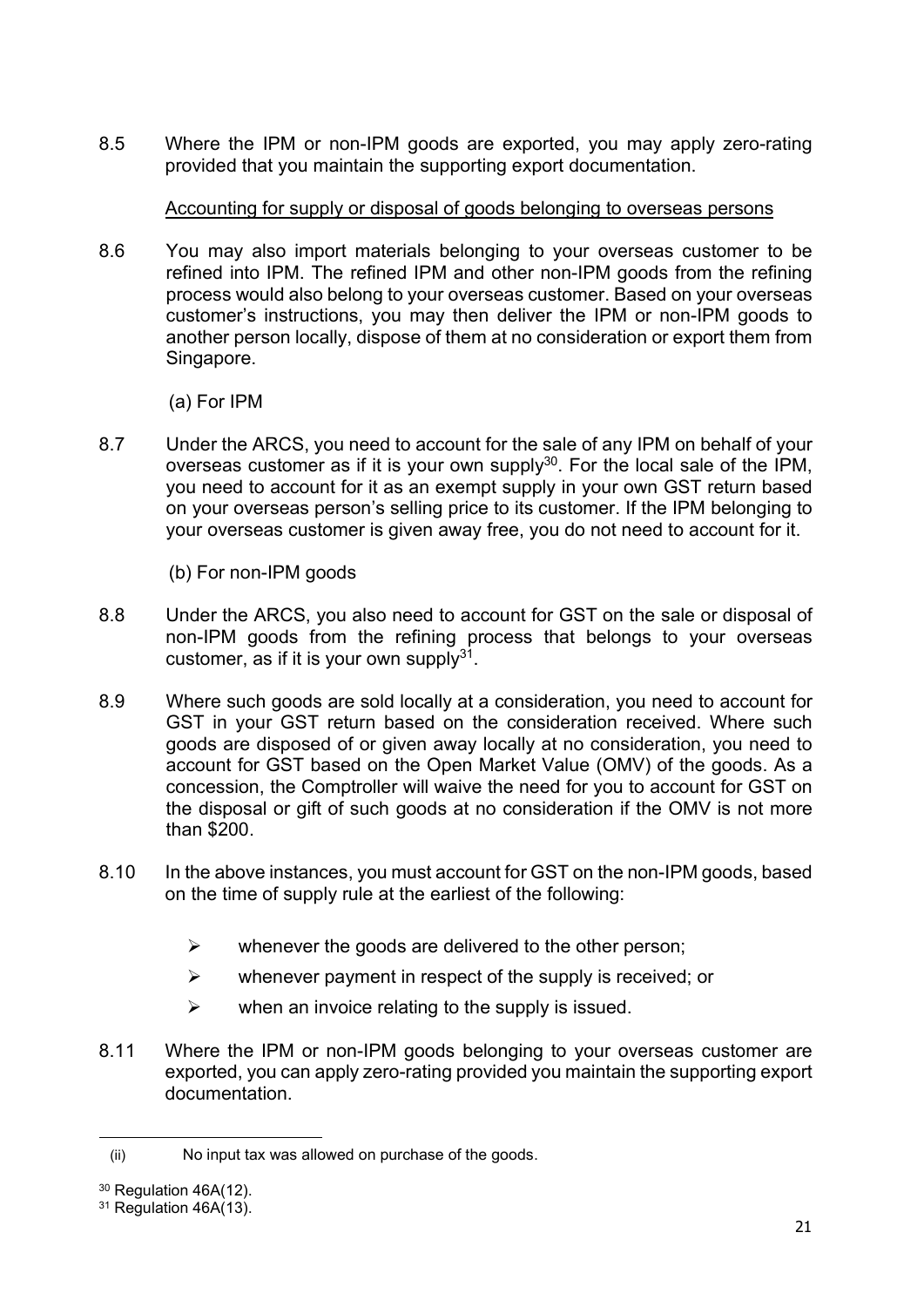8.5 Where the IPM or non-IPM goods are exported, you may apply zero-rating provided that you maintain the supporting export documentation.

# Accounting for supply or disposal of goods belonging to overseas persons

8.6 You may also import materials belonging to your overseas customer to be refined into IPM. The refined IPM and other non-IPM goods from the refining process would also belong to your overseas customer. Based on your overseas customer's instructions, you may then deliver the IPM or non-IPM goods to another person locally, dispose of them at no consideration or export them from Singapore.

(a) For IPM

8.7 Under the ARCS, you need to account for the sale of any IPM on behalf of your overseas customer as if it is your own supply $30$ . For the local sale of the IPM, you need to account for it as an exempt supply in your own GST return based on your overseas person's selling price to its customer. If the IPM belonging to your overseas customer is given away free, you do not need to account for it.

(b) For non-IPM goods

- 8.8 Under the ARCS, you also need to account for GST on the sale or disposal of non-IPM goods from the refining process that belongs to your overseas customer, as if it is your own supply $31$ .
- 8.9 Where such goods are sold locally at a consideration, you need to account for GST in your GST return based on the consideration received. Where such goods are disposed of or given away locally at no consideration, you need to account for GST based on the Open Market Value (OMV) of the goods. As a concession, the Comptroller will waive the need for you to account for GST on the disposal or gift of such goods at no consideration if the OMV is not more than \$200.
- 8.10 In the above instances, you must account for GST on the non-IPM goods, based on the time of supply rule at the earliest of the following:
	- $\triangleright$  whenever the goods are delivered to the other person;
	- $\triangleright$  whenever payment in respect of the supply is received; or
	- $\triangleright$  when an invoice relating to the supply is issued.
- 8.11 Where the IPM or non-IPM goods belonging to your overseas customer are exported, you can apply zero-rating provided you maintain the supporting export documentation.

<sup>(</sup>ii) No input tax was allowed on purchase of the goods.

<sup>&</sup>lt;sup>30</sup> Regulation 46A(12).

 $31$  Regulation 46A $(13)$ .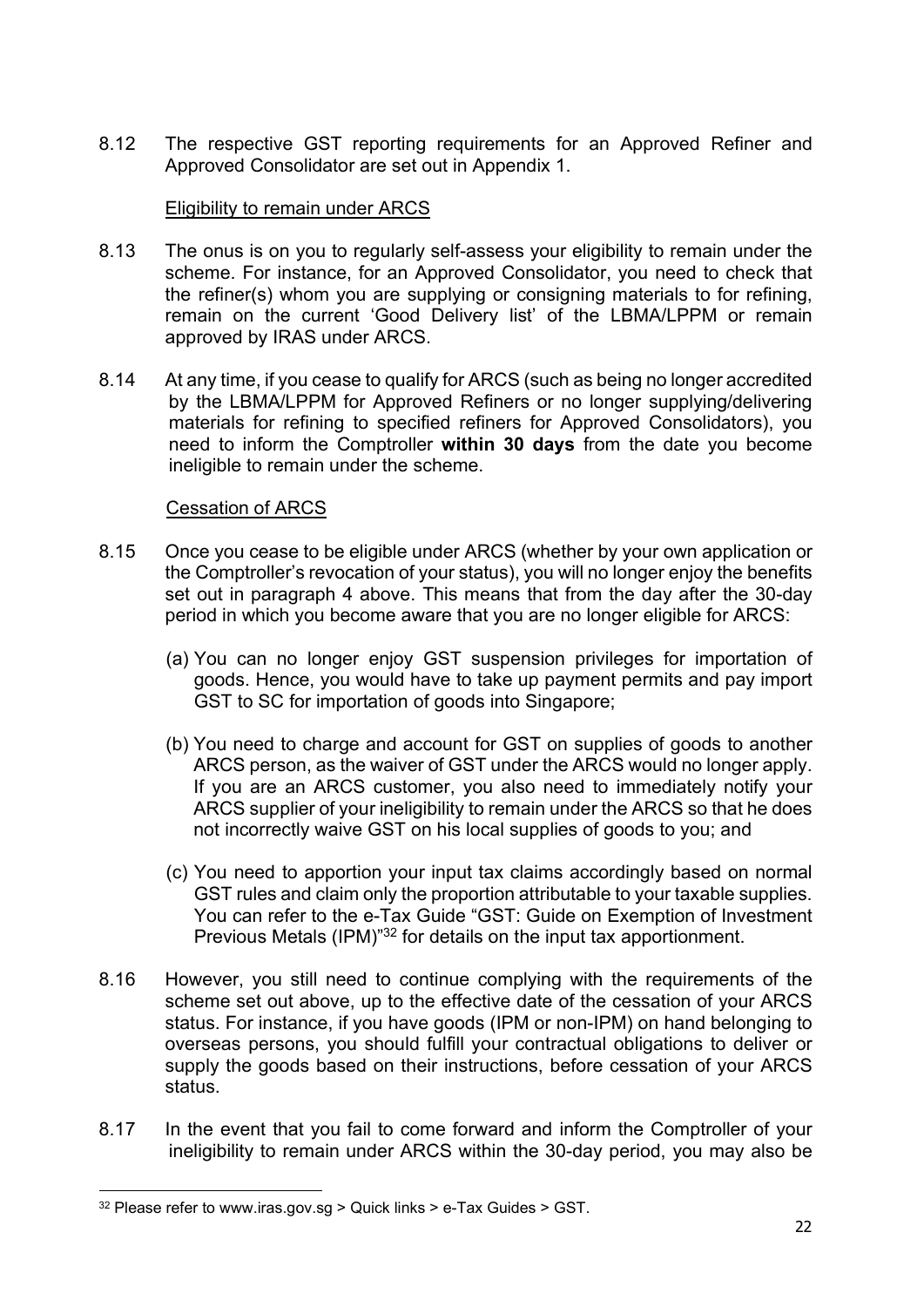8.12 The respective GST reporting requirements for an Approved Refiner and Approved Consolidator are set out in Appendix 1.

# Eligibility to remain under ARCS

- 8.13 The onus is on you to regularly self-assess your eligibility to remain under the scheme. For instance, for an Approved Consolidator, you need to check that the refiner(s) whom you are supplying or consigning materials to for refining, remain on the current 'Good Delivery list' of the LBMA/LPPM or remain approved by IRAS under ARCS.
- 8.14 At any time, if you cease to qualify for ARCS (such as being no longer accredited by the LBMA/LPPM for Approved Refiners or no longer supplying/delivering materials for refining to specified refiners for Approved Consolidators), you need to inform the Comptroller within 30 days from the date you become ineligible to remain under the scheme.

#### Cessation of ARCS

- 8.15 Once you cease to be eligible under ARCS (whether by your own application or the Comptroller's revocation of your status), you will no longer enjoy the benefits set out in paragraph 4 above. This means that from the day after the 30-day period in which you become aware that you are no longer eligible for ARCS:
	- (a) You can no longer enjoy GST suspension privileges for importation of goods. Hence, you would have to take up payment permits and pay import GST to SC for importation of goods into Singapore;
	- (b) You need to charge and account for GST on supplies of goods to another ARCS person, as the waiver of GST under the ARCS would no longer apply. If you are an ARCS customer, you also need to immediately notify your ARCS supplier of your ineligibility to remain under the ARCS so that he does not incorrectly waive GST on his local supplies of goods to you; and
	- (c) You need to apportion your input tax claims accordingly based on normal GST rules and claim only the proportion attributable to your taxable supplies. You can refer to the e-Tax Guide "GST: Guide on Exemption of Investment Previous Metals (IPM)<sup>"32</sup> for details on the input tax apportionment.
- 8.16 However, you still need to continue complying with the requirements of the scheme set out above, up to the effective date of the cessation of your ARCS status. For instance, if you have goods (IPM or non-IPM) on hand belonging to overseas persons, you should fulfill your contractual obligations to deliver or supply the goods based on their instructions, before cessation of your ARCS status.
- 8.17 In the event that you fail to come forward and inform the Comptroller of your ineligibility to remain under ARCS within the 30-day period, you may also be

 $32$  Please refer to www.iras.gov.sg > Quick links > e-Tax Guides > GST.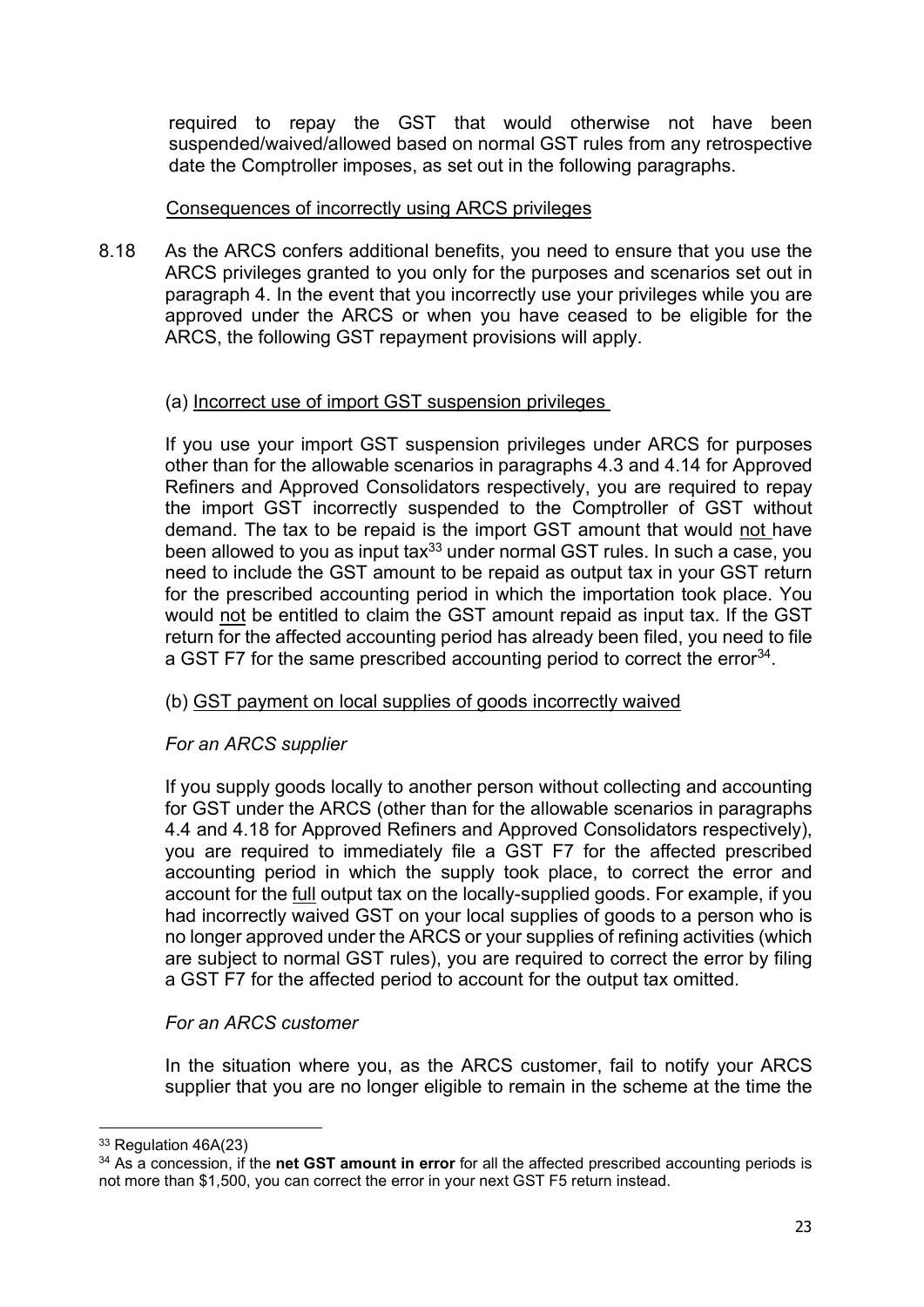required to repay the GST that would otherwise not have been suspended/waived/allowed based on normal GST rules from any retrospective date the Comptroller imposes, as set out in the following paragraphs.

#### Consequences of incorrectly using ARCS privileges

8.18 As the ARCS confers additional benefits, you need to ensure that you use the ARCS privileges granted to you only for the purposes and scenarios set out in paragraph 4. In the event that you incorrectly use your privileges while you are approved under the ARCS or when you have ceased to be eligible for the ARCS, the following GST repayment provisions will apply.

# (a) Incorrect use of import GST suspension privileges

 If you use your import GST suspension privileges under ARCS for purposes other than for the allowable scenarios in paragraphs 4.3 and 4.14 for Approved Refiners and Approved Consolidators respectively, you are required to repay the import GST incorrectly suspended to the Comptroller of GST without demand. The tax to be repaid is the import GST amount that would not have been allowed to you as input tax $33$  under normal GST rules. In such a case, you need to include the GST amount to be repaid as output tax in your GST return for the prescribed accounting period in which the importation took place. You would not be entitled to claim the GST amount repaid as input tax. If the GST return for the affected accounting period has already been filed, you need to file a GST F7 for the same prescribed accounting period to correct the error<sup>34</sup>.

#### (b) GST payment on local supplies of goods incorrectly waived

# For an ARCS supplier

If you supply goods locally to another person without collecting and accounting for GST under the ARCS (other than for the allowable scenarios in paragraphs 4.4 and 4.18 for Approved Refiners and Approved Consolidators respectively), you are required to immediately file a GST F7 for the affected prescribed accounting period in which the supply took place, to correct the error and account for the full output tax on the locally-supplied goods. For example, if you had incorrectly waived GST on your local supplies of goods to a person who is no longer approved under the ARCS or your supplies of refining activities (which are subject to normal GST rules), you are required to correct the error by filing a GST F7 for the affected period to account for the output tax omitted.

#### For an ARCS customer

In the situation where you, as the ARCS customer, fail to notify your ARCS supplier that you are no longer eligible to remain in the scheme at the time the

<sup>33</sup> Regulation 46A(23)

 $34$  As a concession, if the net GST amount in error for all the affected prescribed accounting periods is not more than \$1,500, you can correct the error in your next GST F5 return instead.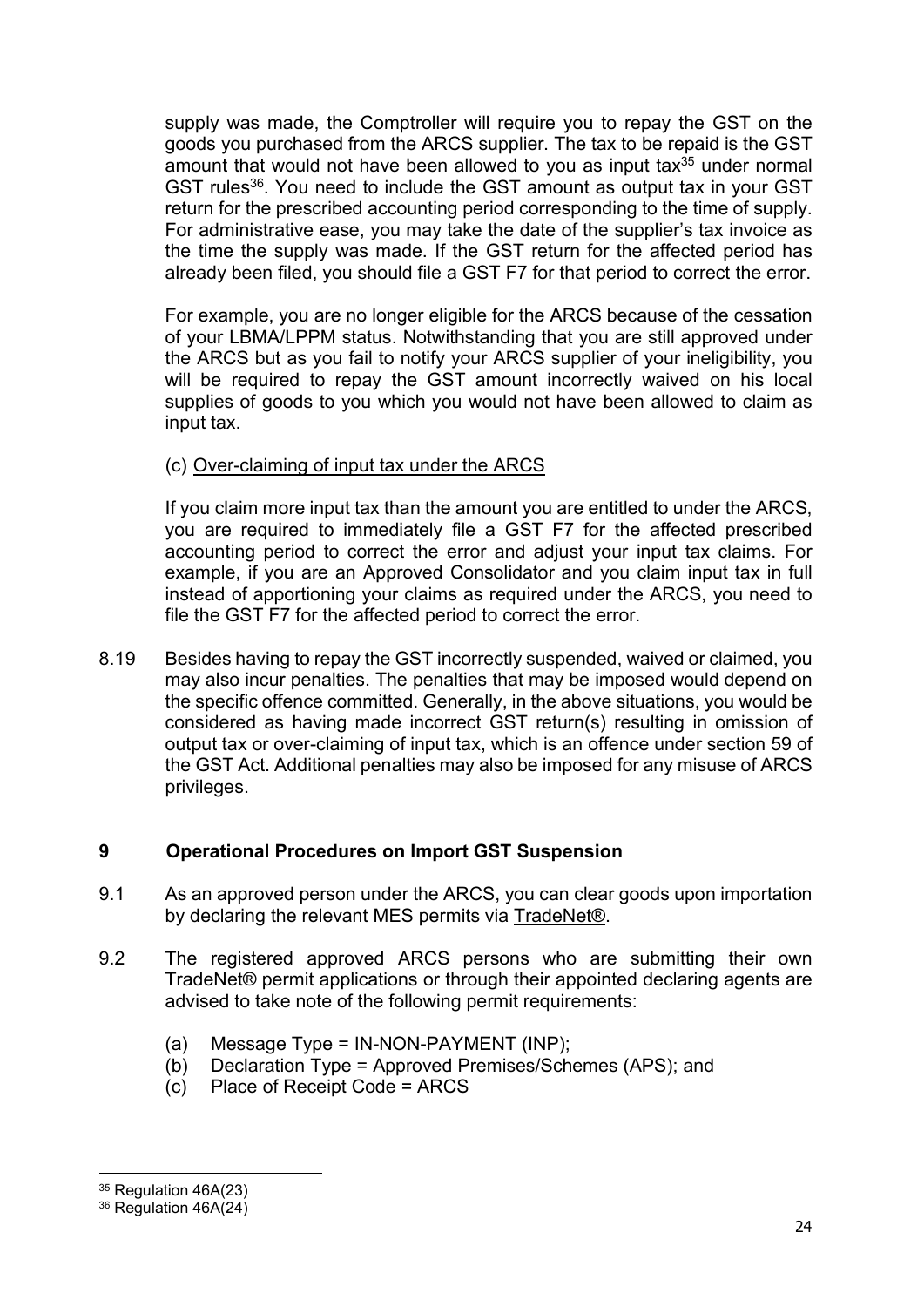supply was made, the Comptroller will require you to repay the GST on the goods you purchased from the ARCS supplier. The tax to be repaid is the GST amount that would not have been allowed to you as input tax $35$  under normal GST rules<sup>36</sup>. You need to include the GST amount as output tax in your GST return for the prescribed accounting period corresponding to the time of supply. For administrative ease, you may take the date of the supplier's tax invoice as the time the supply was made. If the GST return for the affected period has already been filed, you should file a GST F7 for that period to correct the error.

For example, you are no longer eligible for the ARCS because of the cessation of your LBMA/LPPM status. Notwithstanding that you are still approved under the ARCS but as you fail to notify your ARCS supplier of your ineligibility, you will be required to repay the GST amount incorrectly waived on his local supplies of goods to you which you would not have been allowed to claim as input tax.

# (c) Over-claiming of input tax under the ARCS

If you claim more input tax than the amount you are entitled to under the ARCS, you are required to immediately file a GST F7 for the affected prescribed accounting period to correct the error and adjust your input tax claims. For example, if you are an Approved Consolidator and you claim input tax in full instead of apportioning your claims as required under the ARCS, you need to file the GST F7 for the affected period to correct the error.

8.19 Besides having to repay the GST incorrectly suspended, waived or claimed, you may also incur penalties. The penalties that may be imposed would depend on the specific offence committed. Generally, in the above situations, you would be considered as having made incorrect GST return(s) resulting in omission of output tax or over-claiming of input tax, which is an offence under section 59 of the GST Act. Additional penalties may also be imposed for any misuse of ARCS privileges.

# 9 Operational Procedures on Import GST Suspension

- 9.1 As an approved person under the ARCS, you can clear goods upon importation by declaring the relevant MES permits via TradeNet®.
- 9.2 The registered approved ARCS persons who are submitting their own TradeNet® permit applications or through their appointed declaring agents are advised to take note of the following permit requirements:
	- (a) Message Type = IN-NON-PAYMENT (INP);
	- (b) Declaration Type = Approved Premises/Schemes (APS); and
	- (c) Place of Receipt Code = ARCS

<sup>35</sup> Regulation 46A(23)

<sup>36</sup> Regulation 46A(24)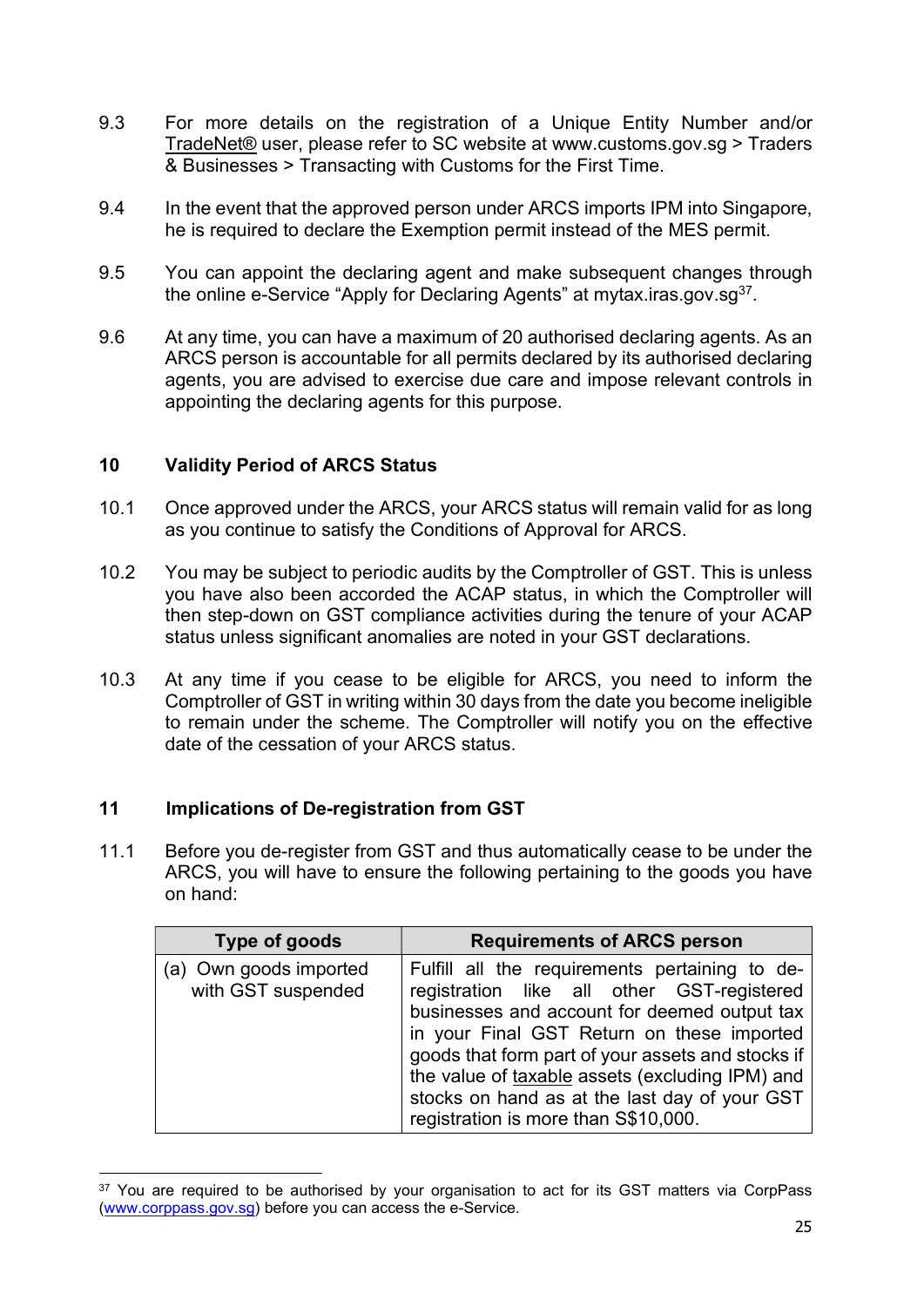- 9.3 For more details on the registration of a Unique Entity Number and/or TradeNet® user, please refer to SC website at www.customs.gov.sg > Traders & Businesses > Transacting with Customs for the First Time.
- 9.4 In the event that the approved person under ARCS imports IPM into Singapore, he is required to declare the Exemption permit instead of the MES permit.
- 9.5 You can appoint the declaring agent and make subsequent changes through the online e-Service "Apply for Declaring Agents" at mytax.iras.gov.sg $37$ .
- 9.6 At any time, you can have a maximum of 20 authorised declaring agents. As an ARCS person is accountable for all permits declared by its authorised declaring agents, you are advised to exercise due care and impose relevant controls in appointing the declaring agents for this purpose.

#### 10 Validity Period of ARCS Status

- 10.1 Once approved under the ARCS, your ARCS status will remain valid for as long as you continue to satisfy the Conditions of Approval for ARCS.
- 10.2 You may be subject to periodic audits by the Comptroller of GST. This is unless you have also been accorded the ACAP status, in which the Comptroller will then step-down on GST compliance activities during the tenure of your ACAP status unless significant anomalies are noted in your GST declarations.
- 10.3 At any time if you cease to be eligible for ARCS, you need to inform the Comptroller of GST in writing within 30 days from the date you become ineligible to remain under the scheme. The Comptroller will notify you on the effective date of the cessation of your ARCS status.

#### 11 Implications of De-registration from GST

11.1 Before you de-register from GST and thus automatically cease to be under the ARCS, you will have to ensure the following pertaining to the goods you have on hand:

| Type of goods                                | <b>Requirements of ARCS person</b>                                                                                                                                                                                                                                                                                                                                                          |
|----------------------------------------------|---------------------------------------------------------------------------------------------------------------------------------------------------------------------------------------------------------------------------------------------------------------------------------------------------------------------------------------------------------------------------------------------|
| (a) Own goods imported<br>with GST suspended | Fulfill all the requirements pertaining to de-<br>registration like all other GST-registered<br>businesses and account for deemed output tax<br>in your Final GST Return on these imported<br>goods that form part of your assets and stocks if<br>the value of taxable assets (excluding IPM) and<br>stocks on hand as at the last day of your GST<br>registration is more than S\$10,000. |

<sup>&</sup>lt;sup>37</sup> You are required to be authorised by your organisation to act for its GST matters via CorpPass (www.corppass.gov.sg) before you can access the e-Service.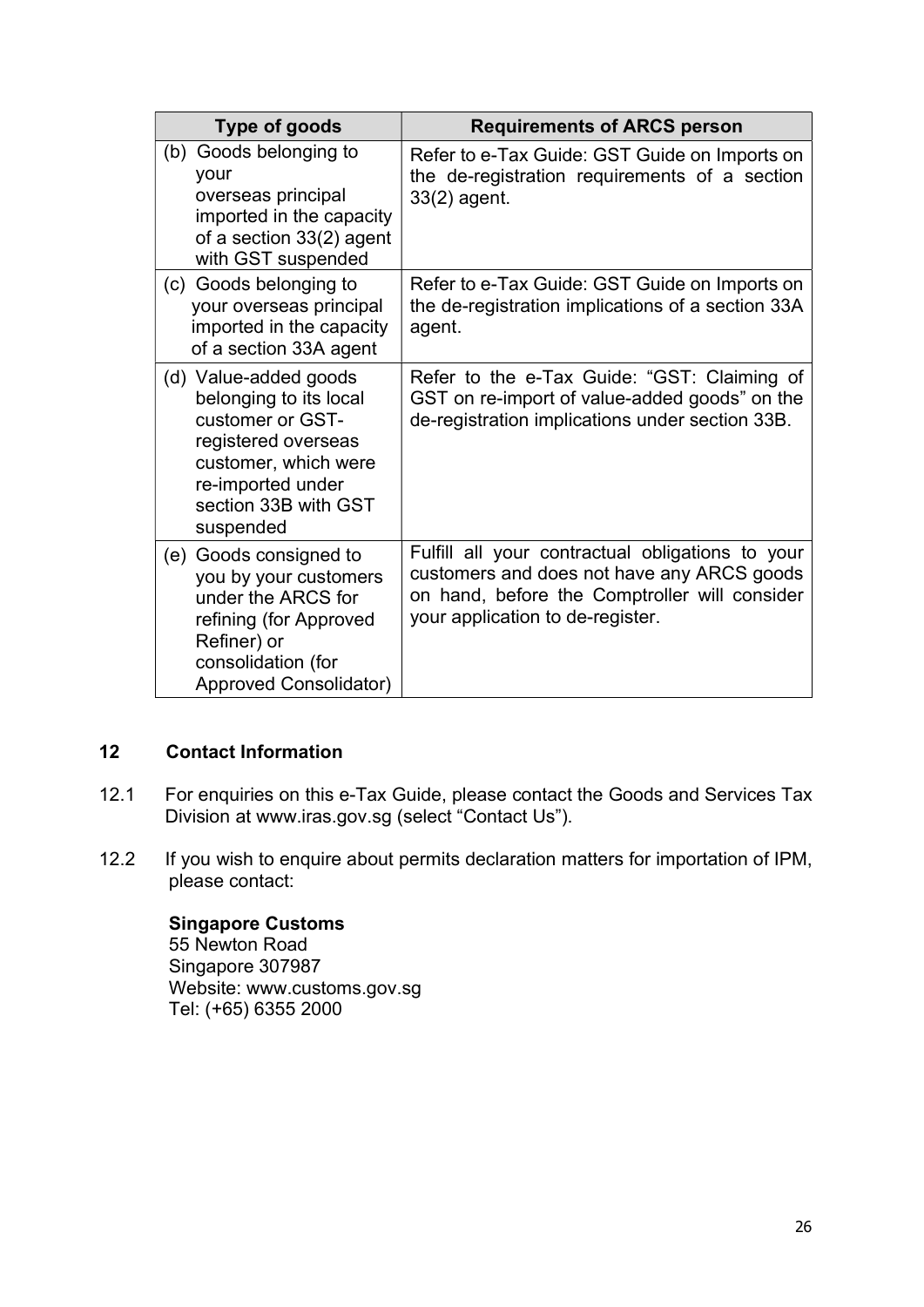| Type of goods                                                                                                                                                                | <b>Requirements of ARCS person</b>                                                                                                                                                  |
|------------------------------------------------------------------------------------------------------------------------------------------------------------------------------|-------------------------------------------------------------------------------------------------------------------------------------------------------------------------------------|
| Goods belonging to<br>(b)<br>your<br>overseas principal<br>imported in the capacity<br>of a section 33(2) agent<br>with GST suspended                                        | Refer to e-Tax Guide: GST Guide on Imports on<br>the de-registration requirements of a section<br>33(2) agent.                                                                      |
| (c) Goods belonging to<br>your overseas principal<br>imported in the capacity<br>of a section 33A agent                                                                      | Refer to e-Tax Guide: GST Guide on Imports on<br>the de-registration implications of a section 33A<br>agent.                                                                        |
| (d) Value-added goods<br>belonging to its local<br>customer or GST-<br>registered overseas<br>customer, which were<br>re-imported under<br>section 33B with GST<br>suspended | Refer to the e-Tax Guide: "GST: Claiming of<br>GST on re-import of value-added goods" on the<br>de-registration implications under section 33B.                                     |
| Goods consigned to<br>(e)<br>you by your customers<br>under the ARCS for<br>refining (for Approved<br>Refiner) or<br>consolidation (for<br>Approved Consolidator)            | Fulfill all your contractual obligations to your<br>customers and does not have any ARCS goods<br>on hand, before the Comptroller will consider<br>your application to de-register. |

# 12 Contact Information

- 12.1 For enquiries on this e-Tax Guide, please contact the Goods and Services Tax Division at www.iras.gov.sg (select "Contact Us").
- 12.2 If you wish to enquire about permits declaration matters for importation of IPM, please contact:

Singapore Customs 55 Newton Road Singapore 307987 Website: www.customs.gov.sg Tel: (+65) 6355 2000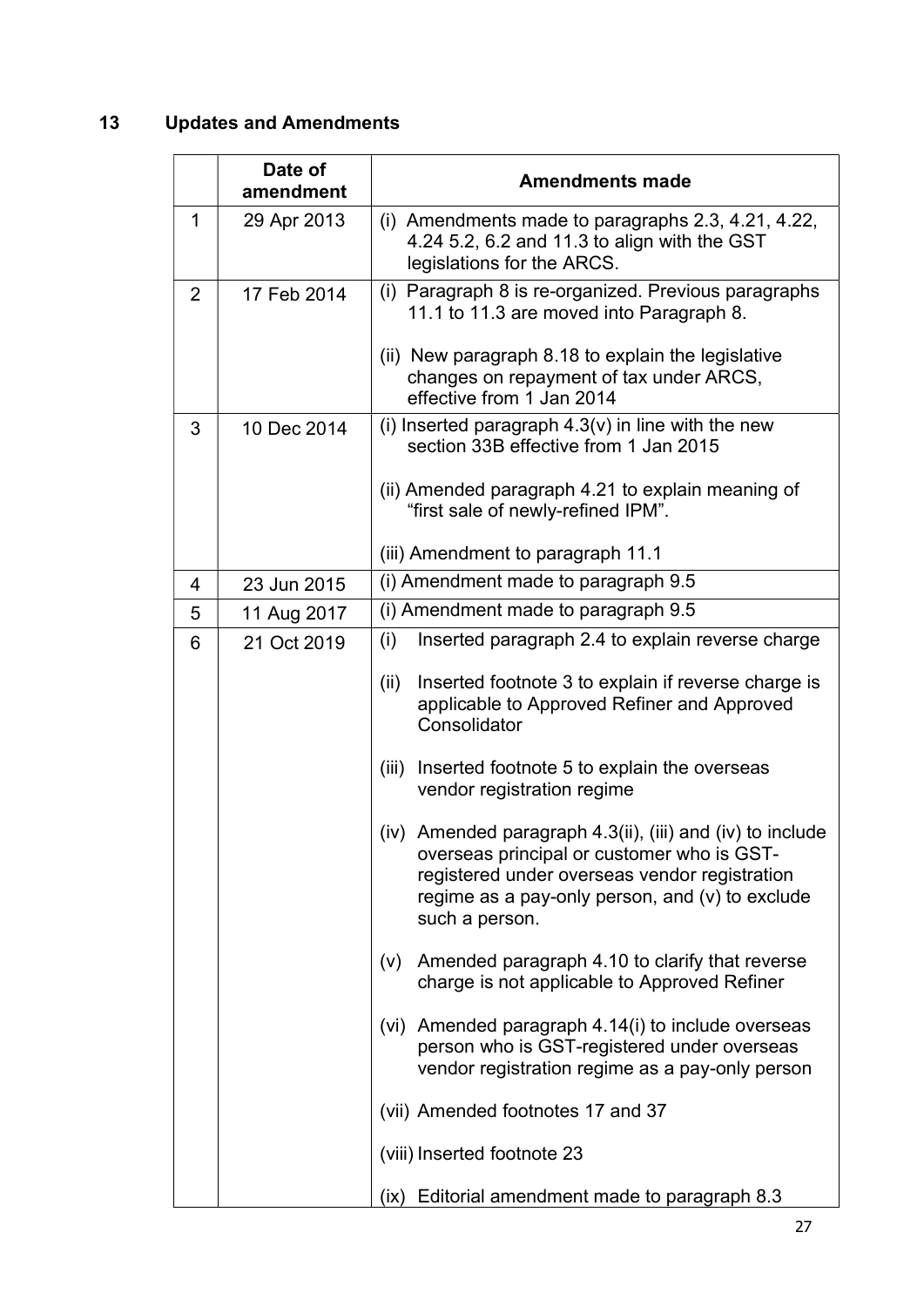# 13 Updates and Amendments

|                | Date of<br>amendment | <b>Amendments made</b>                                                                                                                                                                                                          |
|----------------|----------------------|---------------------------------------------------------------------------------------------------------------------------------------------------------------------------------------------------------------------------------|
| 1              | 29 Apr 2013          | (i) Amendments made to paragraphs $2.3, 4.21, 4.22,$<br>4.24 5.2, 6.2 and 11.3 to align with the GST<br>legislations for the ARCS.                                                                                              |
| $\overline{2}$ | 17 Feb 2014          | (i) Paragraph 8 is re-organized. Previous paragraphs<br>11.1 to 11.3 are moved into Paragraph 8.                                                                                                                                |
|                |                      | (ii) New paragraph 8.18 to explain the legislative<br>changes on repayment of tax under ARCS,<br>effective from 1 Jan 2014                                                                                                      |
| 3              | 10 Dec 2014          | (i) Inserted paragraph $4.3(v)$ in line with the new<br>section 33B effective from 1 Jan 2015                                                                                                                                   |
|                |                      | (ii) Amended paragraph 4.21 to explain meaning of<br>"first sale of newly-refined IPM".                                                                                                                                         |
|                |                      | (iii) Amendment to paragraph 11.1                                                                                                                                                                                               |
| 4              | 23 Jun 2015          | (i) Amendment made to paragraph 9.5                                                                                                                                                                                             |
| 5              | 11 Aug 2017          | (i) Amendment made to paragraph 9.5                                                                                                                                                                                             |
| 6              | 21 Oct 2019          | (i)<br>Inserted paragraph 2.4 to explain reverse charge<br>Inserted footnote 3 to explain if reverse charge is<br>(ii)<br>applicable to Approved Refiner and Approved                                                           |
|                |                      | Consolidator<br>Inserted footnote 5 to explain the overseas<br>(iii)<br>vendor registration regime                                                                                                                              |
|                |                      | (iv) Amended paragraph 4.3(ii), (iii) and (iv) to include<br>overseas principal or customer who is GST-<br>registered under overseas vendor registration<br>regime as a pay-only person, and $(v)$ to exclude<br>such a person. |
|                |                      | Amended paragraph 4.10 to clarify that reverse<br>(V)<br>charge is not applicable to Approved Refiner                                                                                                                           |
|                |                      | (vi) Amended paragraph 4.14(i) to include overseas<br>person who is GST-registered under overseas<br>vendor registration regime as a pay-only person                                                                            |
|                |                      | (vii) Amended footnotes 17 and 37                                                                                                                                                                                               |
|                |                      | (viii) Inserted footnote 23                                                                                                                                                                                                     |
|                |                      | (ix) Editorial amendment made to paragraph 8.3                                                                                                                                                                                  |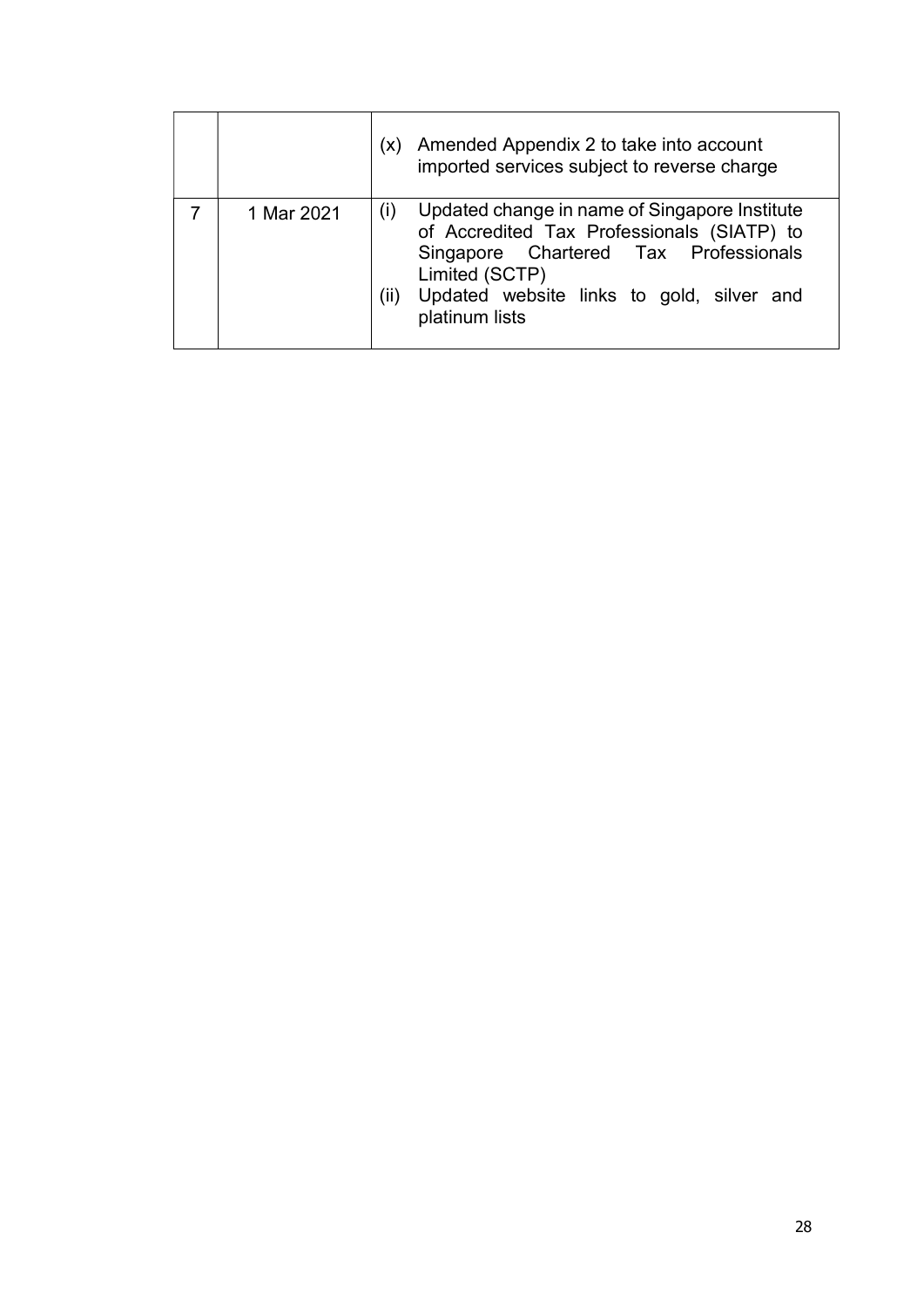|            | (X)         | Amended Appendix 2 to take into account<br>imported services subject to reverse charge                                                                                                                                |
|------------|-------------|-----------------------------------------------------------------------------------------------------------------------------------------------------------------------------------------------------------------------|
| 1 Mar 2021 | (i)<br>(ii) | Updated change in name of Singapore Institute<br>of Accredited Tax Professionals (SIATP) to<br>Singapore Chartered Tax Professionals<br>Limited (SCTP)<br>Updated website links to gold, silver and<br>platinum lists |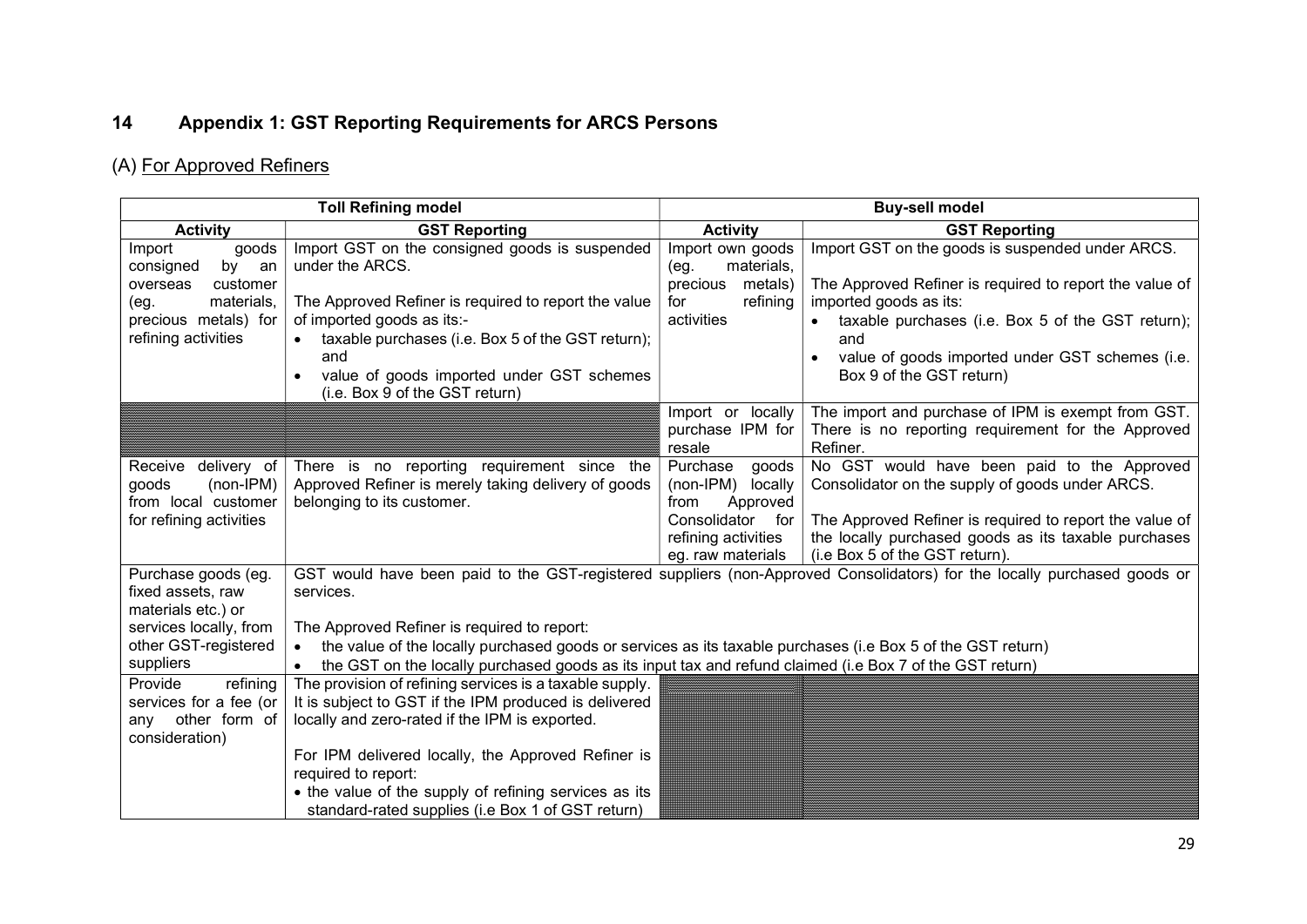# 14 Appendix 1: GST Reporting Requirements for ARCS Persons

# (A) For Approved Refiners

|                                                                                                                                       | <b>Toll Refining model</b>                                                                                                                                                                                                                                                                                      | <b>Buy-sell model</b>                                                                          |                                                                                                                                                                                                                                                                                               |  |
|---------------------------------------------------------------------------------------------------------------------------------------|-----------------------------------------------------------------------------------------------------------------------------------------------------------------------------------------------------------------------------------------------------------------------------------------------------------------|------------------------------------------------------------------------------------------------|-----------------------------------------------------------------------------------------------------------------------------------------------------------------------------------------------------------------------------------------------------------------------------------------------|--|
| <b>Activity</b>                                                                                                                       | <b>GST Reporting</b>                                                                                                                                                                                                                                                                                            | <b>Activity</b>                                                                                | <b>GST Reporting</b>                                                                                                                                                                                                                                                                          |  |
| Import<br>goods<br>by<br>consigned<br>an<br>customer<br>overseas<br>materials,<br>(eg.<br>precious metals) for<br>refining activities | Import GST on the consigned goods is suspended<br>under the ARCS.<br>The Approved Refiner is required to report the value<br>of imported goods as its:-<br>taxable purchases (i.e. Box 5 of the GST return);<br>and<br>value of goods imported under GST schemes<br>$\bullet$<br>(i.e. Box 9 of the GST return) | Import own goods<br>materials,<br>(eg.<br>precious<br>metals)<br>refining<br>for<br>activities | Import GST on the goods is suspended under ARCS.<br>The Approved Refiner is required to report the value of<br>imported goods as its:<br>taxable purchases (i.e. Box 5 of the GST return);<br>and<br>value of goods imported under GST schemes (i.e.<br>$\bullet$<br>Box 9 of the GST return) |  |
|                                                                                                                                       |                                                                                                                                                                                                                                                                                                                 | Import or locally<br>purchase IPM for<br>resale                                                | The import and purchase of IPM is exempt from GST.<br>There is no reporting requirement for the Approved<br>Refiner.                                                                                                                                                                          |  |
| Receive delivery of<br>$(non-IPM)$<br>goods                                                                                           | There is no reporting requirement since the<br>Approved Refiner is merely taking delivery of goods                                                                                                                                                                                                              | Purchase<br>goods<br>$(non-IPM)$<br>locally                                                    | No GST would have been paid to the Approved<br>Consolidator on the supply of goods under ARCS.                                                                                                                                                                                                |  |
| from local customer                                                                                                                   | belonging to its customer.                                                                                                                                                                                                                                                                                      | Approved<br>from                                                                               |                                                                                                                                                                                                                                                                                               |  |
| for refining activities                                                                                                               |                                                                                                                                                                                                                                                                                                                 | Consolidator for<br>refining activities<br>eg. raw materials                                   | The Approved Refiner is required to report the value of<br>the locally purchased goods as its taxable purchases<br>(i.e Box 5 of the GST return).                                                                                                                                             |  |
| Purchase goods (eg.<br>fixed assets, raw<br>services.<br>materials etc.) or                                                           |                                                                                                                                                                                                                                                                                                                 |                                                                                                | GST would have been paid to the GST-registered suppliers (non-Approved Consolidators) for the locally purchased goods or                                                                                                                                                                      |  |
| services locally, from                                                                                                                | The Approved Refiner is required to report:                                                                                                                                                                                                                                                                     |                                                                                                |                                                                                                                                                                                                                                                                                               |  |
| other GST-registered                                                                                                                  | the value of the locally purchased goods or services as its taxable purchases (i.e Box 5 of the GST return)                                                                                                                                                                                                     |                                                                                                |                                                                                                                                                                                                                                                                                               |  |
| suppliers                                                                                                                             | the GST on the locally purchased goods as its input tax and refund claimed (i.e Box 7 of the GST return)                                                                                                                                                                                                        |                                                                                                |                                                                                                                                                                                                                                                                                               |  |
| Provide<br>$r = f$<br>services for a fee (or<br>any other form of<br>consideration)                                                   | The provision of refining services is a taxable supply.<br>It is subject to GST if the IPM produced is delivered<br>locally and zero-rated if the IPM is exported.                                                                                                                                              |                                                                                                |                                                                                                                                                                                                                                                                                               |  |
|                                                                                                                                       | For IPM delivered locally, the Approved Refiner is<br>required to report:                                                                                                                                                                                                                                       |                                                                                                |                                                                                                                                                                                                                                                                                               |  |
|                                                                                                                                       | • the value of the supply of refining services as its<br>standard-rated supplies (i.e Box 1 of GST return)                                                                                                                                                                                                      |                                                                                                |                                                                                                                                                                                                                                                                                               |  |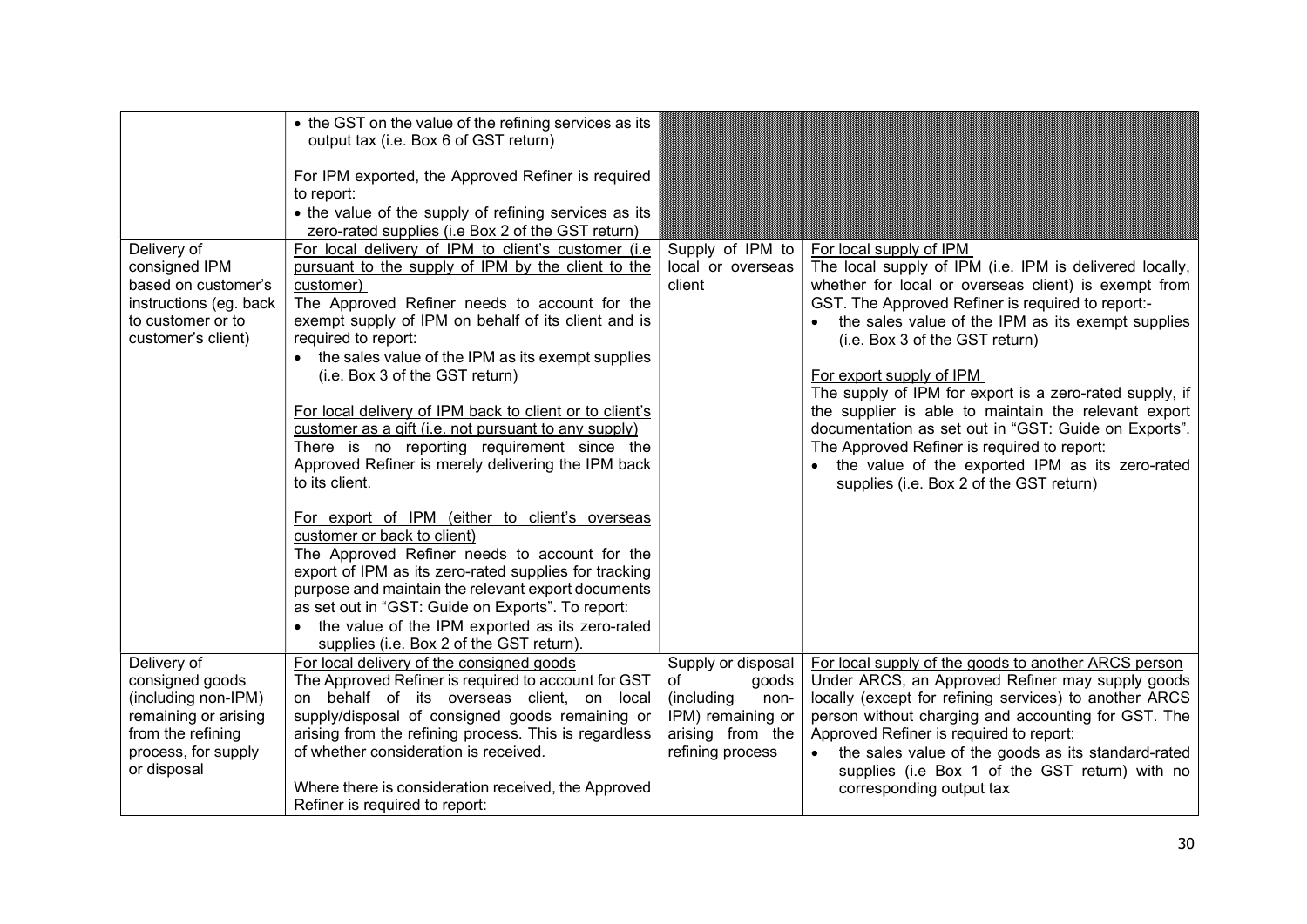| Delivery of<br>consigned IPM<br>based on customer's<br>instructions (eg. back<br>to customer or to<br>customer's client)                 | • the GST on the value of the refining services as its<br>output tax (i.e. Box 6 of GST return)<br>For IPM exported, the Approved Refiner is required<br>to report:<br>• the value of the supply of refining services as its<br>zero-rated supplies (i.e Box 2 of the GST return)<br>For local delivery of IPM to client's customer (i.e.<br>pursuant to the supply of IPM by the client to the<br>customer)<br>The Approved Refiner needs to account for the<br>exempt supply of IPM on behalf of its client and is<br>required to report:<br>• the sales value of the IPM as its exempt supplies<br>(i.e. Box 3 of the GST return)<br>For local delivery of IPM back to client or to client's<br>customer as a gift (i.e. not pursuant to any supply)<br>There is no reporting requirement since the<br>Approved Refiner is merely delivering the IPM back<br>to its client. | Supply of IPM to<br>local or overseas<br>client                                                                      | For local supply of IPM<br>The local supply of IPM (i.e. IPM is delivered locally,<br>whether for local or overseas client) is exempt from<br>GST. The Approved Refiner is required to report:-<br>the sales value of the IPM as its exempt supplies<br>(i.e. Box 3 of the GST return)<br>For export supply of IPM<br>The supply of IPM for export is a zero-rated supply, if<br>the supplier is able to maintain the relevant export<br>documentation as set out in "GST: Guide on Exports".<br>The Approved Refiner is required to report:<br>• the value of the exported IPM as its zero-rated<br>supplies (i.e. Box 2 of the GST return) |
|------------------------------------------------------------------------------------------------------------------------------------------|--------------------------------------------------------------------------------------------------------------------------------------------------------------------------------------------------------------------------------------------------------------------------------------------------------------------------------------------------------------------------------------------------------------------------------------------------------------------------------------------------------------------------------------------------------------------------------------------------------------------------------------------------------------------------------------------------------------------------------------------------------------------------------------------------------------------------------------------------------------------------------|----------------------------------------------------------------------------------------------------------------------|----------------------------------------------------------------------------------------------------------------------------------------------------------------------------------------------------------------------------------------------------------------------------------------------------------------------------------------------------------------------------------------------------------------------------------------------------------------------------------------------------------------------------------------------------------------------------------------------------------------------------------------------|
| Delivery of<br>consigned goods<br>(including non-IPM)<br>remaining or arising<br>from the refining<br>process, for supply<br>or disposal | For export of IPM (either to client's overseas<br>customer or back to client)<br>The Approved Refiner needs to account for the<br>export of IPM as its zero-rated supplies for tracking<br>purpose and maintain the relevant export documents<br>as set out in "GST: Guide on Exports". To report:<br>the value of the IPM exported as its zero-rated<br>supplies (i.e. Box 2 of the GST return).<br>For local delivery of the consigned goods<br>The Approved Refiner is required to account for GST<br>on behalf of its overseas client, on local<br>supply/disposal of consigned goods remaining or<br>arising from the refining process. This is regardless<br>of whether consideration is received.<br>Where there is consideration received, the Approved<br>Refiner is required to report:                                                                              | Supply or disposal<br>of<br>goods<br>(including<br>non-<br>IPM) remaining or<br>arising from the<br>refining process | For local supply of the goods to another ARCS person<br>Under ARCS, an Approved Refiner may supply goods<br>locally (except for refining services) to another ARCS<br>person without charging and accounting for GST. The<br>Approved Refiner is required to report:<br>the sales value of the goods as its standard-rated<br>supplies (i.e Box 1 of the GST return) with no<br>corresponding output tax                                                                                                                                                                                                                                     |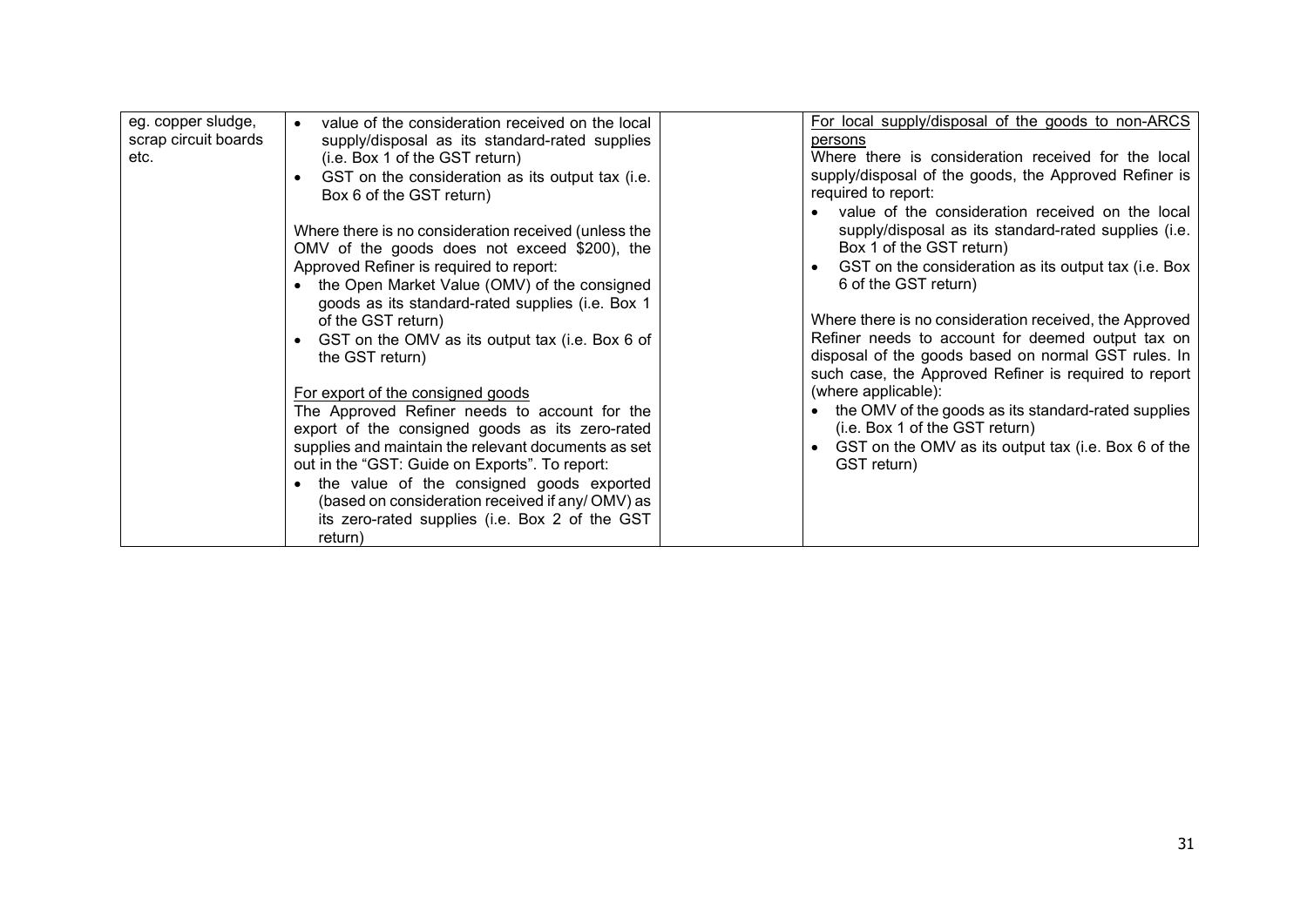| eg. copper sludge,<br>scrap circuit boards<br>etc. | value of the consideration received on the local<br>supply/disposal as its standard-rated supplies<br>(i.e. Box 1 of the GST return)<br>GST on the consideration as its output tax (i.e.<br>Box 6 of the GST return)<br>Where there is no consideration received (unless the<br>OMV of the goods does not exceed \$200), the<br>Approved Refiner is required to report:<br>the Open Market Value (OMV) of the consigned<br>goods as its standard-rated supplies (i.e. Box 1<br>of the GST return)<br>GST on the OMV as its output tax (i.e. Box 6 of<br>the GST return)<br>For export of the consigned goods<br>The Approved Refiner needs to account for the<br>export of the consigned goods as its zero-rated<br>supplies and maintain the relevant documents as set<br>out in the "GST: Guide on Exports". To report:<br>the value of the consigned goods exported<br>(based on consideration received if any/OMV) as<br>its zero-rated supplies (i.e. Box 2 of the GST<br>return) | For local supply/disposal of the goods to non-ARCS<br>persons<br>Where there is consideration received for the local<br>supply/disposal of the goods, the Approved Refiner is<br>required to report:<br>value of the consideration received on the local<br>supply/disposal as its standard-rated supplies (i.e.<br>Box 1 of the GST return)<br>GST on the consideration as its output tax (i.e. Box<br>6 of the GST return)<br>Where there is no consideration received, the Approved<br>Refiner needs to account for deemed output tax on<br>disposal of the goods based on normal GST rules. In<br>such case, the Approved Refiner is required to report<br>(where applicable):<br>• the OMV of the goods as its standard-rated supplies<br>(i.e. Box 1 of the GST return)<br>GST on the OMV as its output tax (i.e. Box 6 of the<br>GST return) |
|----------------------------------------------------|----------------------------------------------------------------------------------------------------------------------------------------------------------------------------------------------------------------------------------------------------------------------------------------------------------------------------------------------------------------------------------------------------------------------------------------------------------------------------------------------------------------------------------------------------------------------------------------------------------------------------------------------------------------------------------------------------------------------------------------------------------------------------------------------------------------------------------------------------------------------------------------------------------------------------------------------------------------------------------------|-----------------------------------------------------------------------------------------------------------------------------------------------------------------------------------------------------------------------------------------------------------------------------------------------------------------------------------------------------------------------------------------------------------------------------------------------------------------------------------------------------------------------------------------------------------------------------------------------------------------------------------------------------------------------------------------------------------------------------------------------------------------------------------------------------------------------------------------------------|
|----------------------------------------------------|----------------------------------------------------------------------------------------------------------------------------------------------------------------------------------------------------------------------------------------------------------------------------------------------------------------------------------------------------------------------------------------------------------------------------------------------------------------------------------------------------------------------------------------------------------------------------------------------------------------------------------------------------------------------------------------------------------------------------------------------------------------------------------------------------------------------------------------------------------------------------------------------------------------------------------------------------------------------------------------|-----------------------------------------------------------------------------------------------------------------------------------------------------------------------------------------------------------------------------------------------------------------------------------------------------------------------------------------------------------------------------------------------------------------------------------------------------------------------------------------------------------------------------------------------------------------------------------------------------------------------------------------------------------------------------------------------------------------------------------------------------------------------------------------------------------------------------------------------------|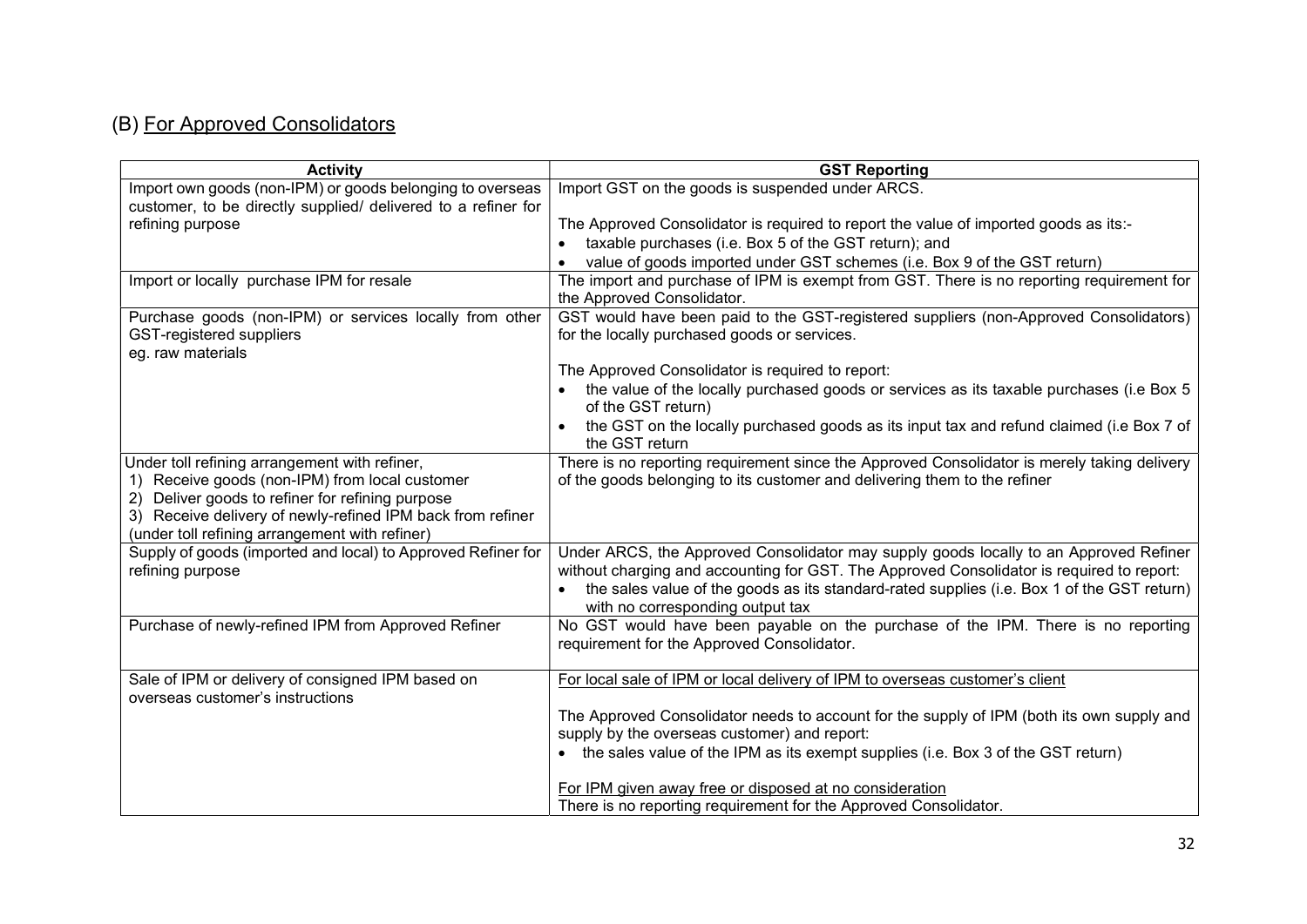# (B) For Approved Consolidators

| <b>Activity</b>                                               | <b>GST Reporting</b>                                                                                                           |
|---------------------------------------------------------------|--------------------------------------------------------------------------------------------------------------------------------|
| Import own goods (non-IPM) or goods belonging to overseas     | Import GST on the goods is suspended under ARCS.                                                                               |
| customer, to be directly supplied/ delivered to a refiner for |                                                                                                                                |
| refining purpose                                              | The Approved Consolidator is required to report the value of imported goods as its:-                                           |
|                                                               | taxable purchases (i.e. Box 5 of the GST return); and                                                                          |
|                                                               | value of goods imported under GST schemes (i.e. Box 9 of the GST return)                                                       |
| Import or locally purchase IPM for resale                     | The import and purchase of IPM is exempt from GST. There is no reporting requirement for<br>the Approved Consolidator.         |
| Purchase goods (non-IPM) or services locally from other       | GST would have been paid to the GST-registered suppliers (non-Approved Consolidators)                                          |
| GST-registered suppliers<br>eg. raw materials                 | for the locally purchased goods or services.                                                                                   |
|                                                               | The Approved Consolidator is required to report:                                                                               |
|                                                               | the value of the locally purchased goods or services as its taxable purchases (i.e Box 5<br>of the GST return)                 |
|                                                               | the GST on the locally purchased goods as its input tax and refund claimed (i.e Box 7 of<br>the GST return                     |
| Under toll refining arrangement with refiner,                 | There is no reporting requirement since the Approved Consolidator is merely taking delivery                                    |
| 1) Receive goods (non-IPM) from local customer                | of the goods belonging to its customer and delivering them to the refiner                                                      |
| Deliver goods to refiner for refining purpose                 |                                                                                                                                |
| 3) Receive delivery of newly-refined IPM back from refiner    |                                                                                                                                |
| (under toll refining arrangement with refiner)                |                                                                                                                                |
| Supply of goods (imported and local) to Approved Refiner for  | Under ARCS, the Approved Consolidator may supply goods locally to an Approved Refiner                                          |
| refining purpose                                              | without charging and accounting for GST. The Approved Consolidator is required to report:                                      |
|                                                               | the sales value of the goods as its standard-rated supplies (i.e. Box 1 of the GST return)<br>with no corresponding output tax |
| Purchase of newly-refined IPM from Approved Refiner           | No GST would have been payable on the purchase of the IPM. There is no reporting                                               |
|                                                               | requirement for the Approved Consolidator.                                                                                     |
|                                                               |                                                                                                                                |
| Sale of IPM or delivery of consigned IPM based on             | For local sale of IPM or local delivery of IPM to overseas customer's client                                                   |
| overseas customer's instructions                              |                                                                                                                                |
|                                                               | The Approved Consolidator needs to account for the supply of IPM (both its own supply and                                      |
|                                                               | supply by the overseas customer) and report:                                                                                   |
|                                                               | • the sales value of the IPM as its exempt supplies (i.e. Box 3 of the GST return)                                             |
|                                                               | For IPM given away free or disposed at no consideration                                                                        |
|                                                               | There is no reporting requirement for the Approved Consolidator.                                                               |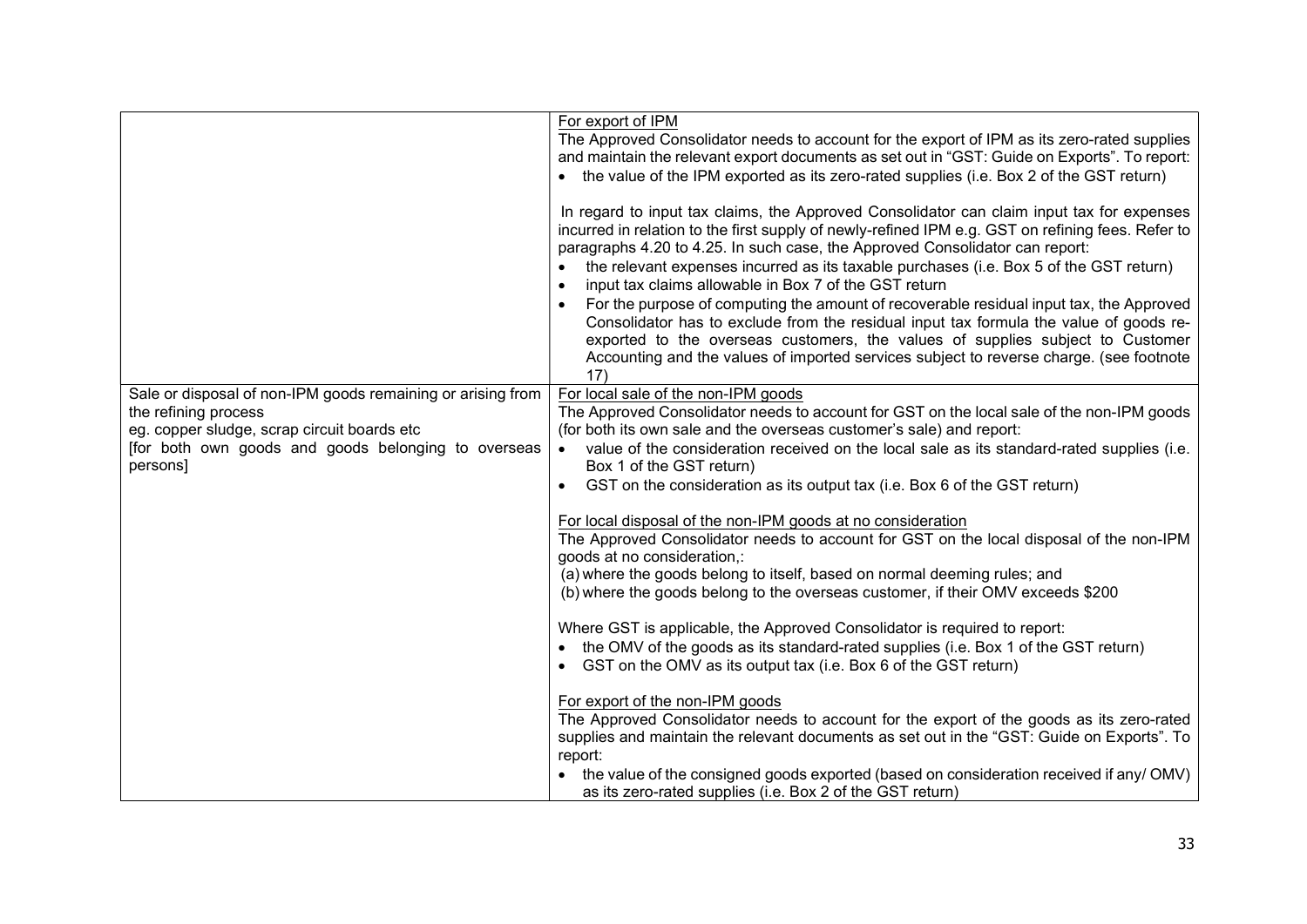|                                                                 | For export of IPM                                                                                                                                                                                                                                                                                                                                                                                                                                                                                                                                                                                                                                                                                                                                                                                                       |  |  |
|-----------------------------------------------------------------|-------------------------------------------------------------------------------------------------------------------------------------------------------------------------------------------------------------------------------------------------------------------------------------------------------------------------------------------------------------------------------------------------------------------------------------------------------------------------------------------------------------------------------------------------------------------------------------------------------------------------------------------------------------------------------------------------------------------------------------------------------------------------------------------------------------------------|--|--|
|                                                                 | The Approved Consolidator needs to account for the export of IPM as its zero-rated supplies                                                                                                                                                                                                                                                                                                                                                                                                                                                                                                                                                                                                                                                                                                                             |  |  |
|                                                                 | and maintain the relevant export documents as set out in "GST: Guide on Exports". To report:                                                                                                                                                                                                                                                                                                                                                                                                                                                                                                                                                                                                                                                                                                                            |  |  |
|                                                                 | • the value of the IPM exported as its zero-rated supplies (i.e. Box 2 of the GST return)                                                                                                                                                                                                                                                                                                                                                                                                                                                                                                                                                                                                                                                                                                                               |  |  |
|                                                                 | In regard to input tax claims, the Approved Consolidator can claim input tax for expenses<br>incurred in relation to the first supply of newly-refined IPM e.g. GST on refining fees. Refer to<br>paragraphs 4.20 to 4.25. In such case, the Approved Consolidator can report:<br>the relevant expenses incurred as its taxable purchases (i.e. Box 5 of the GST return)<br>input tax claims allowable in Box 7 of the GST return<br>$\bullet$<br>For the purpose of computing the amount of recoverable residual input tax, the Approved<br>Consolidator has to exclude from the residual input tax formula the value of goods re-<br>exported to the overseas customers, the values of supplies subject to Customer<br>Accounting and the values of imported services subject to reverse charge. (see footnote<br>17) |  |  |
| Sale or disposal of non-IPM goods remaining or arising from     | For local sale of the non-IPM goods                                                                                                                                                                                                                                                                                                                                                                                                                                                                                                                                                                                                                                                                                                                                                                                     |  |  |
| the refining process                                            | The Approved Consolidator needs to account for GST on the local sale of the non-IPM goods                                                                                                                                                                                                                                                                                                                                                                                                                                                                                                                                                                                                                                                                                                                               |  |  |
| eg. copper sludge, scrap circuit boards etc                     | (for both its own sale and the overseas customer's sale) and report:                                                                                                                                                                                                                                                                                                                                                                                                                                                                                                                                                                                                                                                                                                                                                    |  |  |
| [for both own goods and goods belonging to overseas<br>persons] | value of the consideration received on the local sale as its standard-rated supplies (i.e.<br>$\bullet$<br>Box 1 of the GST return)                                                                                                                                                                                                                                                                                                                                                                                                                                                                                                                                                                                                                                                                                     |  |  |
|                                                                 | GST on the consideration as its output tax (i.e. Box 6 of the GST return)<br>$\bullet$                                                                                                                                                                                                                                                                                                                                                                                                                                                                                                                                                                                                                                                                                                                                  |  |  |
|                                                                 |                                                                                                                                                                                                                                                                                                                                                                                                                                                                                                                                                                                                                                                                                                                                                                                                                         |  |  |
|                                                                 | For local disposal of the non-IPM goods at no consideration                                                                                                                                                                                                                                                                                                                                                                                                                                                                                                                                                                                                                                                                                                                                                             |  |  |
|                                                                 | The Approved Consolidator needs to account for GST on the local disposal of the non-IPM                                                                                                                                                                                                                                                                                                                                                                                                                                                                                                                                                                                                                                                                                                                                 |  |  |
|                                                                 | goods at no consideration,:                                                                                                                                                                                                                                                                                                                                                                                                                                                                                                                                                                                                                                                                                                                                                                                             |  |  |
|                                                                 | (a) where the goods belong to itself, based on normal deeming rules; and<br>(b) where the goods belong to the overseas customer, if their OMV exceeds \$200                                                                                                                                                                                                                                                                                                                                                                                                                                                                                                                                                                                                                                                             |  |  |
|                                                                 |                                                                                                                                                                                                                                                                                                                                                                                                                                                                                                                                                                                                                                                                                                                                                                                                                         |  |  |
|                                                                 | Where GST is applicable, the Approved Consolidator is required to report:                                                                                                                                                                                                                                                                                                                                                                                                                                                                                                                                                                                                                                                                                                                                               |  |  |
|                                                                 | the OMV of the goods as its standard-rated supplies (i.e. Box 1 of the GST return)                                                                                                                                                                                                                                                                                                                                                                                                                                                                                                                                                                                                                                                                                                                                      |  |  |
|                                                                 | GST on the OMV as its output tax (i.e. Box 6 of the GST return)                                                                                                                                                                                                                                                                                                                                                                                                                                                                                                                                                                                                                                                                                                                                                         |  |  |
|                                                                 |                                                                                                                                                                                                                                                                                                                                                                                                                                                                                                                                                                                                                                                                                                                                                                                                                         |  |  |
|                                                                 | For export of the non-IPM goods                                                                                                                                                                                                                                                                                                                                                                                                                                                                                                                                                                                                                                                                                                                                                                                         |  |  |
|                                                                 | The Approved Consolidator needs to account for the export of the goods as its zero-rated                                                                                                                                                                                                                                                                                                                                                                                                                                                                                                                                                                                                                                                                                                                                |  |  |
|                                                                 | supplies and maintain the relevant documents as set out in the "GST: Guide on Exports". To<br>report:                                                                                                                                                                                                                                                                                                                                                                                                                                                                                                                                                                                                                                                                                                                   |  |  |
|                                                                 | the value of the consigned goods exported (based on consideration received if any/ OMV)                                                                                                                                                                                                                                                                                                                                                                                                                                                                                                                                                                                                                                                                                                                                 |  |  |
|                                                                 | as its zero-rated supplies (i.e. Box 2 of the GST return)                                                                                                                                                                                                                                                                                                                                                                                                                                                                                                                                                                                                                                                                                                                                                               |  |  |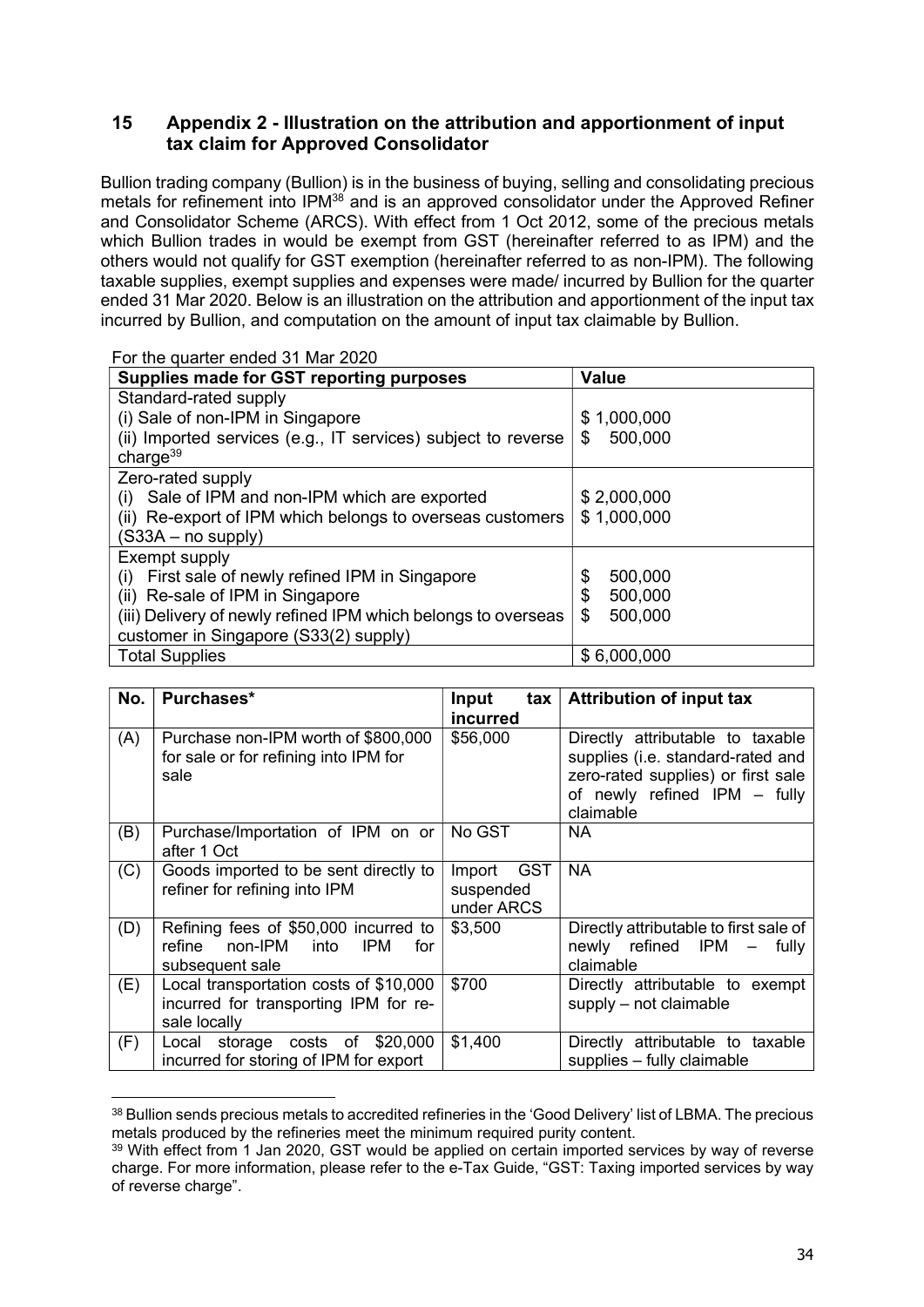#### 15 Appendix 2 - Illustration on the attribution and apportionment of input tax claim for Approved Consolidator

Bullion trading company (Bullion) is in the business of buying, selling and consolidating precious metals for refinement into IPM<sup>38</sup> and is an approved consolidator under the Approved Refiner and Consolidator Scheme (ARCS). With effect from 1 Oct 2012, some of the precious metals which Bullion trades in would be exempt from GST (hereinafter referred to as IPM) and the others would not qualify for GST exemption (hereinafter referred to as non-IPM). The following taxable supplies, exempt supplies and expenses were made/ incurred by Bullion for the quarter ended 31 Mar 2020. Below is an illustration on the attribution and apportionment of the input tax incurred by Bullion, and computation on the amount of input tax claimable by Bullion.

For the quarter ended 31 Mar 2020

| Supplies made for GST reporting purposes                      | <b>Value</b>  |
|---------------------------------------------------------------|---------------|
| Standard-rated supply                                         |               |
| (i) Sale of non-IPM in Singapore                              | \$1,000,000   |
| (ii) Imported services (e.g., IT services) subject to reverse | \$<br>500,000 |
| charge $39$                                                   |               |
| Zero-rated supply                                             |               |
| (i) Sale of IPM and non-IPM which are exported                | \$2,000,000   |
| (ii) Re-export of IPM which belongs to overseas customers     | \$1,000,000   |
| $(S33A - no supply)$                                          |               |
| Exempt supply                                                 |               |
| (i) First sale of newly refined IPM in Singapore              | 500,000<br>\$ |
| (ii) Re-sale of IPM in Singapore                              | \$<br>500,000 |
| (iii) Delivery of newly refined IPM which belongs to overseas | \$<br>500,000 |
| customer in Singapore (S33(2) supply)                         |               |
| <b>Total Supplies</b>                                         | \$6,000,000   |

| No. | Purchases*                                                                                              | <b>Input</b><br>tax<br>incurred          | <b>Attribution of input tax</b>                                                                                                                          |
|-----|---------------------------------------------------------------------------------------------------------|------------------------------------------|----------------------------------------------------------------------------------------------------------------------------------------------------------|
| (A) | Purchase non-IPM worth of \$800,000<br>for sale or for refining into IPM for<br>sale                    | \$56,000                                 | Directly attributable to taxable<br>supplies (i.e. standard-rated and<br>zero-rated supplies) or first sale<br>of newly refined IPM - fully<br>claimable |
| (B) | Purchase/Importation of IPM on or<br>after 1 Oct                                                        | No GST                                   | NA.                                                                                                                                                      |
| (C) | Goods imported to be sent directly to<br>refiner for refining into IPM                                  | GST<br>Import<br>suspended<br>under ARCS | NA.                                                                                                                                                      |
| (D) | Refining fees of \$50,000 incurred to<br>refine non-IPM<br>into<br><b>IPM</b><br>for<br>subsequent sale | \$3,500                                  | Directly attributable to first sale of<br>newly refined IPM - fully<br>claimable                                                                         |
| (E) | Local transportation costs of \$10,000<br>incurred for transporting IPM for re-<br>sale locally         | \$700                                    | Directly attributable to exempt<br>supply - not claimable                                                                                                |
| (F) | storage costs of \$20,000<br>Local<br>incurred for storing of IPM for export                            | \$1,400                                  | Directly attributable to taxable<br>supplies - fully claimable                                                                                           |

<sup>&</sup>lt;sup>38</sup> Bullion sends precious metals to accredited refineries in the 'Good Delivery' list of LBMA. The precious metals produced by the refineries meet the minimum required purity content.

<sup>&</sup>lt;sup>39</sup> With effect from 1 Jan 2020, GST would be applied on certain imported services by way of reverse charge. For more information, please refer to the e-Tax Guide, "GST: Taxing imported services by way of reverse charge".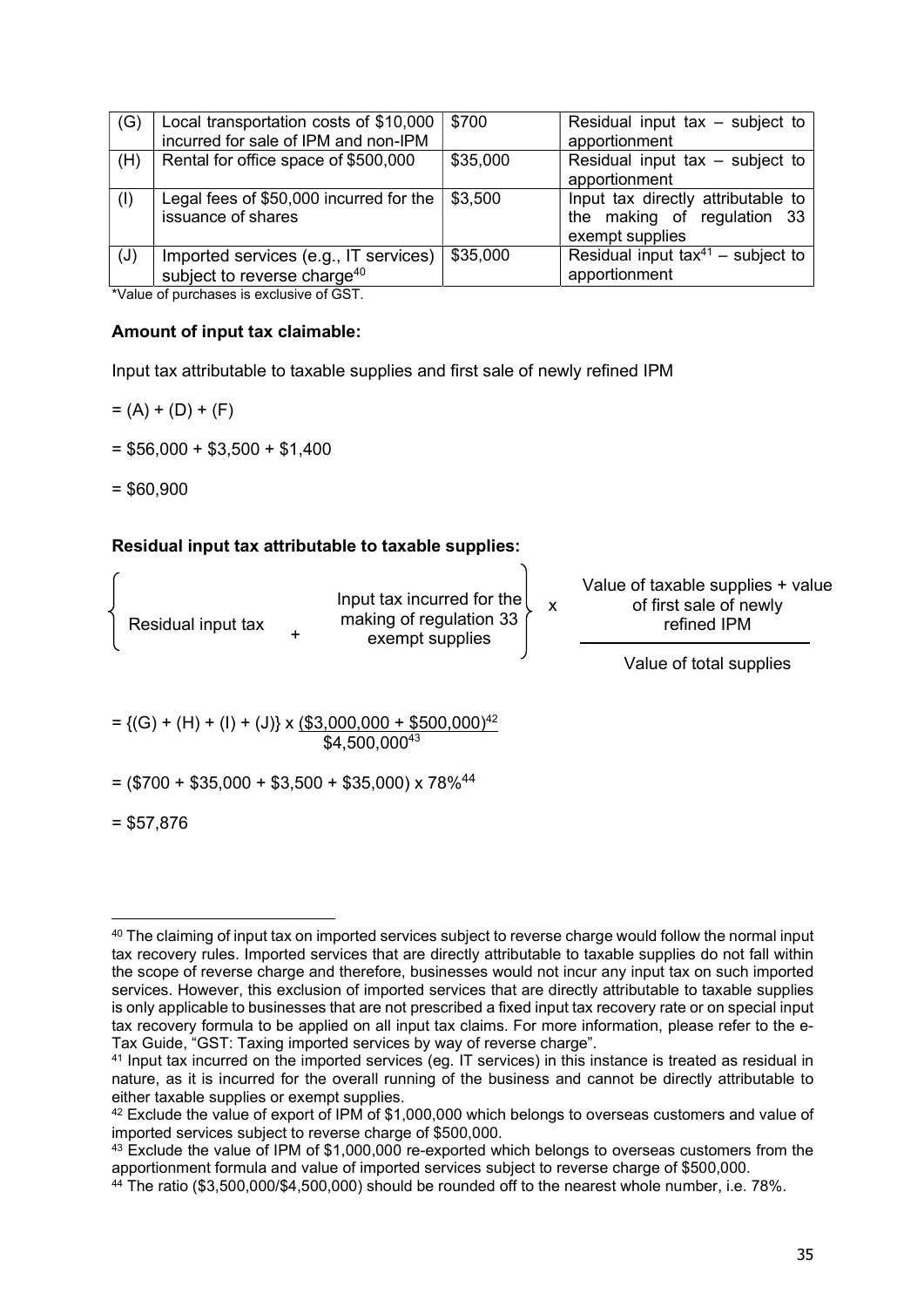| (G) | Local transportation costs of \$10,000      | \$700    | Residual input tax $-$ subject to      |
|-----|---------------------------------------------|----------|----------------------------------------|
|     | incurred for sale of IPM and non-IPM        |          | apportionment                          |
| (H) | Rental for office space of \$500,000        | \$35,000 | Residual input tax $-$ subject to      |
|     |                                             |          | apportionment                          |
| (1) | Legal fees of \$50,000 incurred for the $ $ | \$3,500  | Input tax directly attributable to     |
|     | issuance of shares                          |          | the making of regulation 33            |
|     |                                             |          | exempt supplies                        |
| (J) | Imported services (e.g., IT services)       | \$35,000 | Residual input $tax^{41}$ – subject to |
|     | subject to reverse charge <sup>40</sup>     |          | apportionment                          |

\*Value of purchases is exclusive of GST.

#### Amount of input tax claimable:

Input tax attributable to taxable supplies and first sale of newly refined IPM

- $= (A) + (D) + (F)$
- $= $56,000 + $3,500 + $1,400$
- $= $60.900$

#### Residual input tax attributable to taxable supplies:

| Residual input tax |  | Input tax incurred for the<br>making of regulation 33<br>exempt supplies |  | Value of taxable supplies + value<br>of first sale of newly<br>refined IPM |
|--------------------|--|--------------------------------------------------------------------------|--|----------------------------------------------------------------------------|
|--------------------|--|--------------------------------------------------------------------------|--|----------------------------------------------------------------------------|

 $\Delta$ 

Value of total supplies

 $= \{ (G) + (H) + (I) + (J) \} \times \{ $3,000,000 + $500,000 \}^{42}$ \$4,500,000<sup>43</sup>

 $=$  (\$700 + \$35,000 + \$3,500 + \$35,000) x 78%<sup>44</sup>

 $= $57,876$ 

<sup>&</sup>lt;sup>40</sup> The claiming of input tax on imported services subject to reverse charge would follow the normal input tax recovery rules. Imported services that are directly attributable to taxable supplies do not fall within the scope of reverse charge and therefore, businesses would not incur any input tax on such imported services. However, this exclusion of imported services that are directly attributable to taxable supplies is only applicable to businesses that are not prescribed a fixed input tax recovery rate or on special input tax recovery formula to be applied on all input tax claims. For more information, please refer to the e-Tax Guide, "GST: Taxing imported services by way of reverse charge".

<sup>&</sup>lt;sup>41</sup> Input tax incurred on the imported services (eg. IT services) in this instance is treated as residual in nature, as it is incurred for the overall running of the business and cannot be directly attributable to either taxable supplies or exempt supplies.

<sup>42</sup> Exclude the value of export of IPM of \$1,000,000 which belongs to overseas customers and value of imported services subject to reverse charge of \$500,000.

<sup>&</sup>lt;sup>43</sup> Exclude the value of IPM of \$1,000,000 re-exported which belongs to overseas customers from the apportionment formula and value of imported services subject to reverse charge of \$500,000.

<sup>44</sup> The ratio (\$3,500,000/\$4,500,000) should be rounded off to the nearest whole number, i.e. 78%.